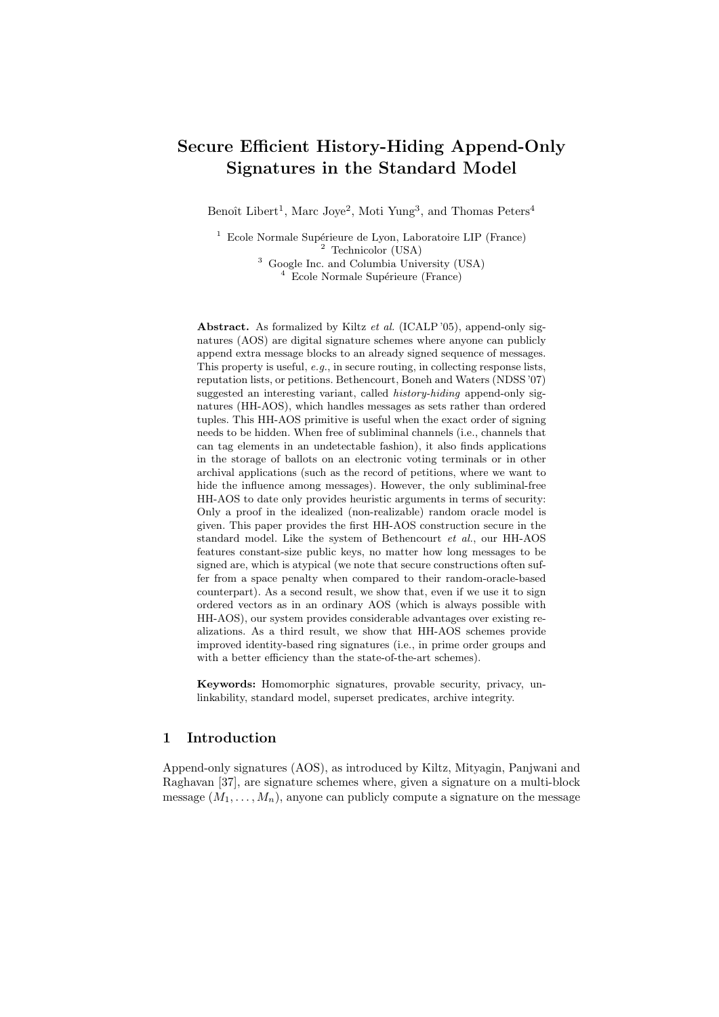# Secure Efficient History-Hiding Append-Only Signatures in the Standard Model

Benoît Libert<sup>1</sup>, Marc Joye<sup>2</sup>, Moti Yung<sup>3</sup>, and Thomas Peters<sup>4</sup>

 $1$  Ecole Normale Supérieure de Lyon, Laboratoire LIP (France)  $^2$  Technicolor (USA) <sup>3</sup> Google Inc. and Columbia University (USA)

<sup>4</sup> Ecole Normale Supérieure (France)

Abstract. As formalized by Kiltz *et al.* (ICALP  $'05$ ), append-only signatures (AOS) are digital signature schemes where anyone can publicly append extra message blocks to an already signed sequence of messages. This property is useful, e.g., in secure routing, in collecting response lists, reputation lists, or petitions. Bethencourt, Boneh and Waters (NDSS '07) suggested an interesting variant, called history-hiding append-only signatures (HH-AOS), which handles messages as sets rather than ordered tuples. This HH-AOS primitive is useful when the exact order of signing needs to be hidden. When free of subliminal channels (i.e., channels that can tag elements in an undetectable fashion), it also finds applications in the storage of ballots on an electronic voting terminals or in other archival applications (such as the record of petitions, where we want to hide the influence among messages). However, the only subliminal-free HH-AOS to date only provides heuristic arguments in terms of security: Only a proof in the idealized (non-realizable) random oracle model is given. This paper provides the first HH-AOS construction secure in the standard model. Like the system of Bethencourt et al., our HH-AOS features constant-size public keys, no matter how long messages to be signed are, which is atypical (we note that secure constructions often suffer from a space penalty when compared to their random-oracle-based counterpart). As a second result, we show that, even if we use it to sign ordered vectors as in an ordinary AOS (which is always possible with HH-AOS), our system provides considerable advantages over existing realizations. As a third result, we show that HH-AOS schemes provide improved identity-based ring signatures (i.e., in prime order groups and with a better efficiency than the state-of-the-art schemes).

Keywords: Homomorphic signatures, provable security, privacy, unlinkability, standard model, superset predicates, archive integrity.

# 1 Introduction

Append-only signatures (AOS), as introduced by Kiltz, Mityagin, Panjwani and Raghavan [37], are signature schemes where, given a signature on a multi-block message  $(M_1, \ldots, M_n)$ , anyone can publicly compute a signature on the message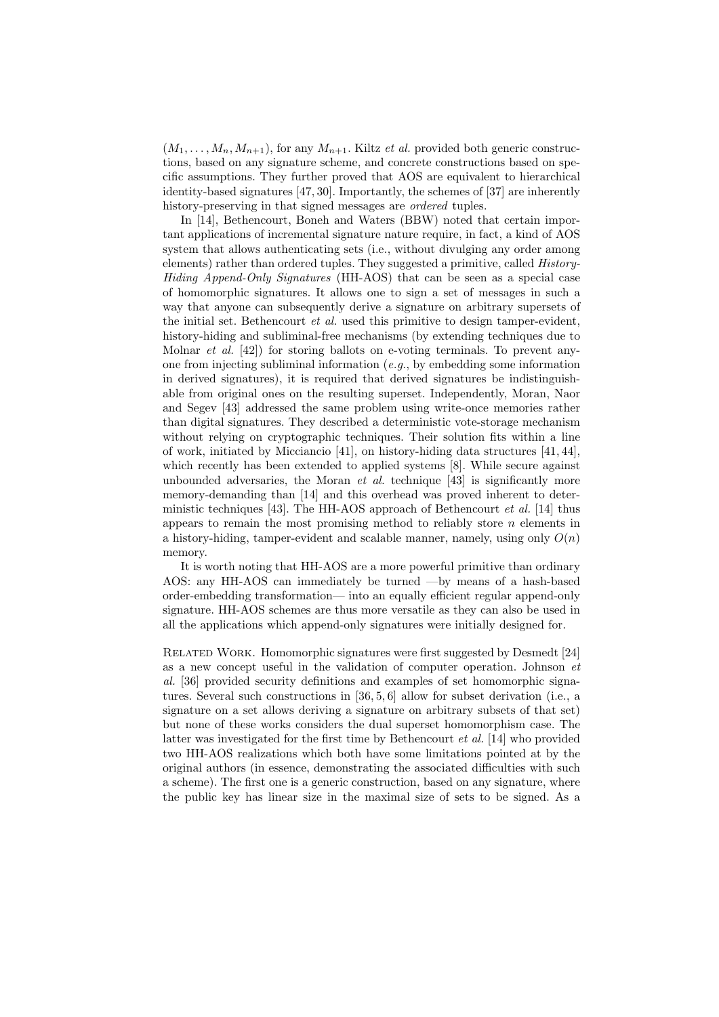$(M_1, \ldots, M_n, M_{n+1})$ , for any  $M_{n+1}$ . Kiltz *et al.* provided both generic constructions, based on any signature scheme, and concrete constructions based on specific assumptions. They further proved that AOS are equivalent to hierarchical identity-based signatures [47, 30]. Importantly, the schemes of [37] are inherently history-preserving in that signed messages are *ordered* tuples.

In [14], Bethencourt, Boneh and Waters (BBW) noted that certain important applications of incremental signature nature require, in fact, a kind of AOS system that allows authenticating sets (i.e., without divulging any order among elements) rather than ordered tuples. They suggested a primitive, called History-Hiding Append-Only Signatures (HH-AOS) that can be seen as a special case of homomorphic signatures. It allows one to sign a set of messages in such a way that anyone can subsequently derive a signature on arbitrary supersets of the initial set. Bethencourt  $et$  al. used this primitive to design tamper-evident, history-hiding and subliminal-free mechanisms (by extending techniques due to Molnar *et al.* [42]) for storing ballots on e-voting terminals. To prevent anyone from injecting subliminal information (e.g., by embedding some information in derived signatures), it is required that derived signatures be indistinguishable from original ones on the resulting superset. Independently, Moran, Naor and Segev [43] addressed the same problem using write-once memories rather than digital signatures. They described a deterministic vote-storage mechanism without relying on cryptographic techniques. Their solution fits within a line of work, initiated by Micciancio [41], on history-hiding data structures [41, 44], which recently has been extended to applied systems [8]. While secure against unbounded adversaries, the Moran  $et \ al.$  technique [43] is significantly more memory-demanding than [14] and this overhead was proved inherent to deterministic techniques [43]. The HH-AOS approach of Bethencourt et al. [14] thus appears to remain the most promising method to reliably store  $n$  elements in a history-hiding, tamper-evident and scalable manner, namely, using only  $O(n)$ memory.

It is worth noting that HH-AOS are a more powerful primitive than ordinary AOS: any HH-AOS can immediately be turned —by means of a hash-based order-embedding transformation— into an equally efficient regular append-only signature. HH-AOS schemes are thus more versatile as they can also be used in all the applications which append-only signatures were initially designed for.

RELATED WORK. Homomorphic signatures were first suggested by Desmedt [24] as a new concept useful in the validation of computer operation. Johnson et al. [36] provided security definitions and examples of set homomorphic signatures. Several such constructions in [36, 5, 6] allow for subset derivation (i.e., a signature on a set allows deriving a signature on arbitrary subsets of that set) but none of these works considers the dual superset homomorphism case. The latter was investigated for the first time by Bethencourt et al. [14] who provided two HH-AOS realizations which both have some limitations pointed at by the original authors (in essence, demonstrating the associated difficulties with such a scheme). The first one is a generic construction, based on any signature, where the public key has linear size in the maximal size of sets to be signed. As a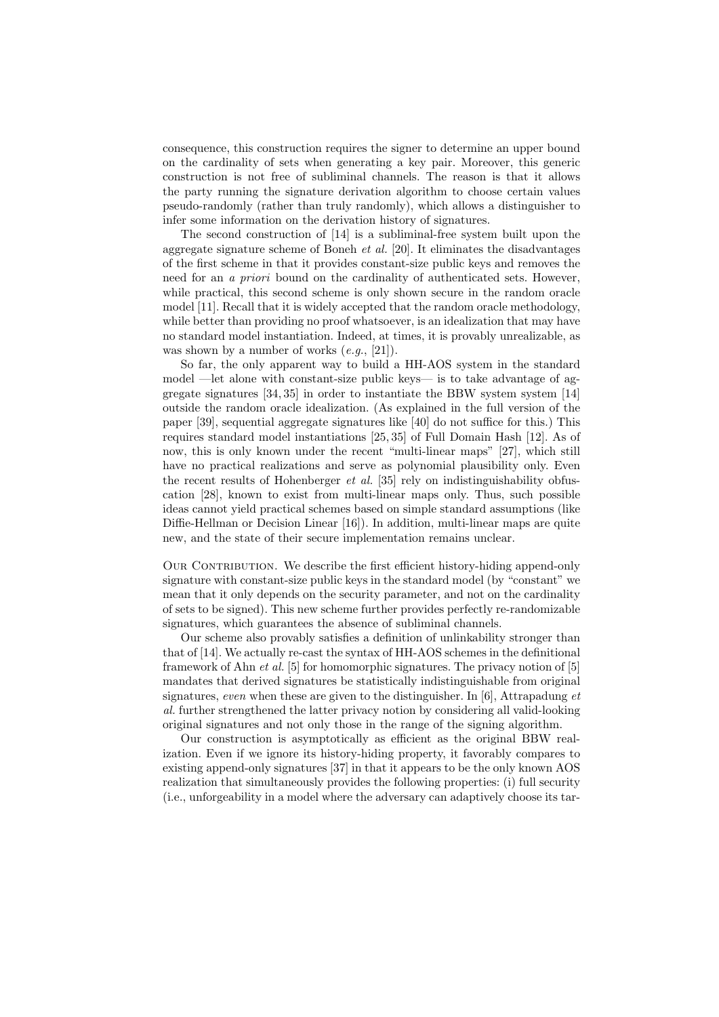consequence, this construction requires the signer to determine an upper bound on the cardinality of sets when generating a key pair. Moreover, this generic construction is not free of subliminal channels. The reason is that it allows the party running the signature derivation algorithm to choose certain values pseudo-randomly (rather than truly randomly), which allows a distinguisher to infer some information on the derivation history of signatures.

The second construction of [14] is a subliminal-free system built upon the aggregate signature scheme of Boneh et al. [20]. It eliminates the disadvantages of the first scheme in that it provides constant-size public keys and removes the need for an *a priori* bound on the cardinality of authenticated sets. However, while practical, this second scheme is only shown secure in the random oracle model [11]. Recall that it is widely accepted that the random oracle methodology, while better than providing no proof whatsoever, is an idealization that may have no standard model instantiation. Indeed, at times, it is provably unrealizable, as was shown by a number of works  $(e.g., [21])$ .

So far, the only apparent way to build a HH-AOS system in the standard model —let alone with constant-size public keys— is to take advantage of aggregate signatures [34, 35] in order to instantiate the BBW system system [14] outside the random oracle idealization. (As explained in the full version of the paper [39], sequential aggregate signatures like [40] do not suffice for this.) This requires standard model instantiations [25, 35] of Full Domain Hash [12]. As of now, this is only known under the recent "multi-linear maps" [27], which still have no practical realizations and serve as polynomial plausibility only. Even the recent results of Hohenberger  $et \ al.$  [35] rely on indistinguishability obfuscation [28], known to exist from multi-linear maps only. Thus, such possible ideas cannot yield practical schemes based on simple standard assumptions (like Diffie-Hellman or Decision Linear [16]). In addition, multi-linear maps are quite new, and the state of their secure implementation remains unclear.

OUR CONTRIBUTION. We describe the first efficient history-hiding append-only signature with constant-size public keys in the standard model (by "constant" we mean that it only depends on the security parameter, and not on the cardinality of sets to be signed). This new scheme further provides perfectly re-randomizable signatures, which guarantees the absence of subliminal channels.

Our scheme also provably satisfies a definition of unlinkability stronger than that of [14]. We actually re-cast the syntax of HH-AOS schemes in the definitional framework of Ahn et al. [5] for homomorphic signatures. The privacy notion of [5] mandates that derived signatures be statistically indistinguishable from original signatures, even when these are given to the distinguisher. In [6], Attrapadung  $et$ al. further strengthened the latter privacy notion by considering all valid-looking original signatures and not only those in the range of the signing algorithm.

Our construction is asymptotically as efficient as the original BBW realization. Even if we ignore its history-hiding property, it favorably compares to existing append-only signatures [37] in that it appears to be the only known AOS realization that simultaneously provides the following properties: (i) full security (i.e., unforgeability in a model where the adversary can adaptively choose its tar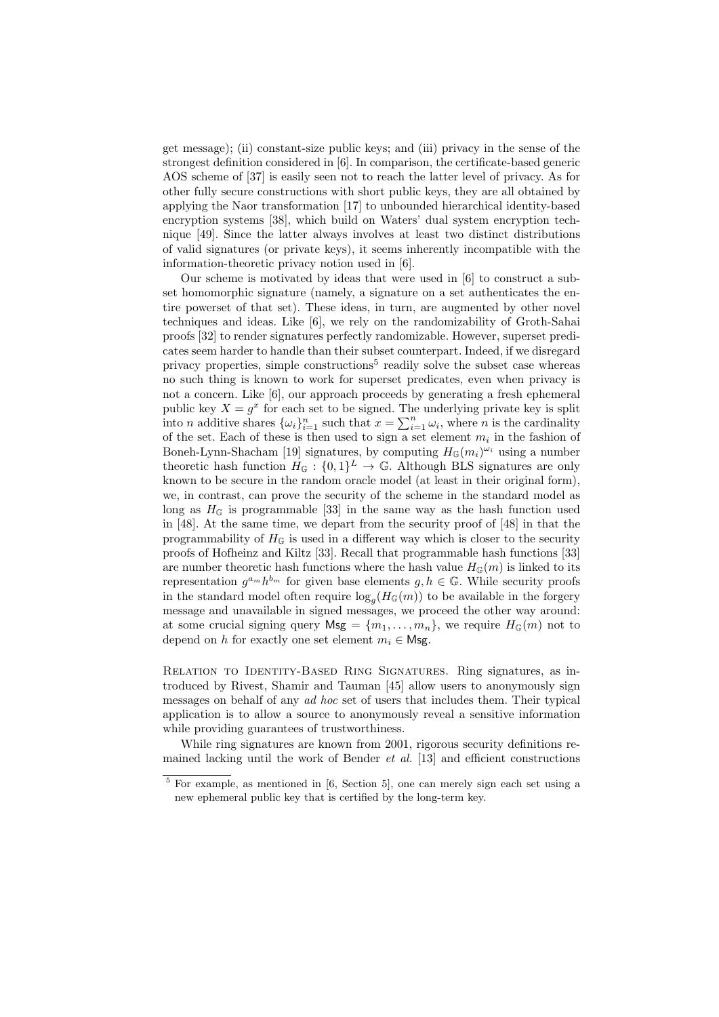get message); (ii) constant-size public keys; and (iii) privacy in the sense of the strongest definition considered in [6]. In comparison, the certificate-based generic AOS scheme of [37] is easily seen not to reach the latter level of privacy. As for other fully secure constructions with short public keys, they are all obtained by applying the Naor transformation [17] to unbounded hierarchical identity-based encryption systems [38], which build on Waters' dual system encryption technique [49]. Since the latter always involves at least two distinct distributions of valid signatures (or private keys), it seems inherently incompatible with the information-theoretic privacy notion used in [6].

Our scheme is motivated by ideas that were used in [6] to construct a subset homomorphic signature (namely, a signature on a set authenticates the entire powerset of that set). These ideas, in turn, are augmented by other novel techniques and ideas. Like [6], we rely on the randomizability of Groth-Sahai proofs [32] to render signatures perfectly randomizable. However, superset predicates seem harder to handle than their subset counterpart. Indeed, if we disregard privacy properties, simple constructions<sup>5</sup> readily solve the subset case whereas no such thing is known to work for superset predicates, even when privacy is not a concern. Like [6], our approach proceeds by generating a fresh ephemeral public key  $X = g^x$  for each set to be signed. The underlying private key is split into *n* additive shares  $\{\omega_i\}_{i=1}^n$  such that  $x = \sum_{i=1}^n \omega_i$ , where *n* is the cardinality of the set. Each of these is then used to sign a set element  $m_i$  in the fashion of Boneh-Lynn-Shacham [19] signatures, by computing  $H_{\mathbb{G}}(m_i)^{\omega_i}$  using a number theoretic hash function  $H_{\mathbb{G}}: \{0,1\}^L \to \mathbb{G}$ . Although BLS signatures are only known to be secure in the random oracle model (at least in their original form), we, in contrast, can prove the security of the scheme in the standard model as long as  $H_{\mathbb{G}}$  is programmable [33] in the same way as the hash function used in [48]. At the same time, we depart from the security proof of [48] in that the programmability of  $H_{\mathbb{G}}$  is used in a different way which is closer to the security proofs of Hofheinz and Kiltz [33]. Recall that programmable hash functions [33] are number theoretic hash functions where the hash value  $H_{\mathbb{G}}(m)$  is linked to its representation  $g^{a_m}h^{b_m}$  for given base elements  $g, h \in \mathbb{G}$ . While security proofs in the standard model often require  $\log_g(H_{\mathbb{G}}(m))$  to be available in the forgery message and unavailable in signed messages, we proceed the other way around: at some crucial signing query  $\mathsf{Msg} = \{m_1, \ldots, m_n\}$ , we require  $H_{\mathbb{G}}(m)$  not to depend on h for exactly one set element  $m_i \in \mathsf{Msg}$ .

Relation to Identity-Based Ring Signatures. Ring signatures, as introduced by Rivest, Shamir and Tauman [45] allow users to anonymously sign messages on behalf of any ad hoc set of users that includes them. Their typical application is to allow a source to anonymously reveal a sensitive information while providing guarantees of trustworthiness.

While ring signatures are known from 2001, rigorous security definitions remained lacking until the work of Bender  $et \ al.$  [13] and efficient constructions

<sup>5</sup> For example, as mentioned in [6, Section 5], one can merely sign each set using a new ephemeral public key that is certified by the long-term key.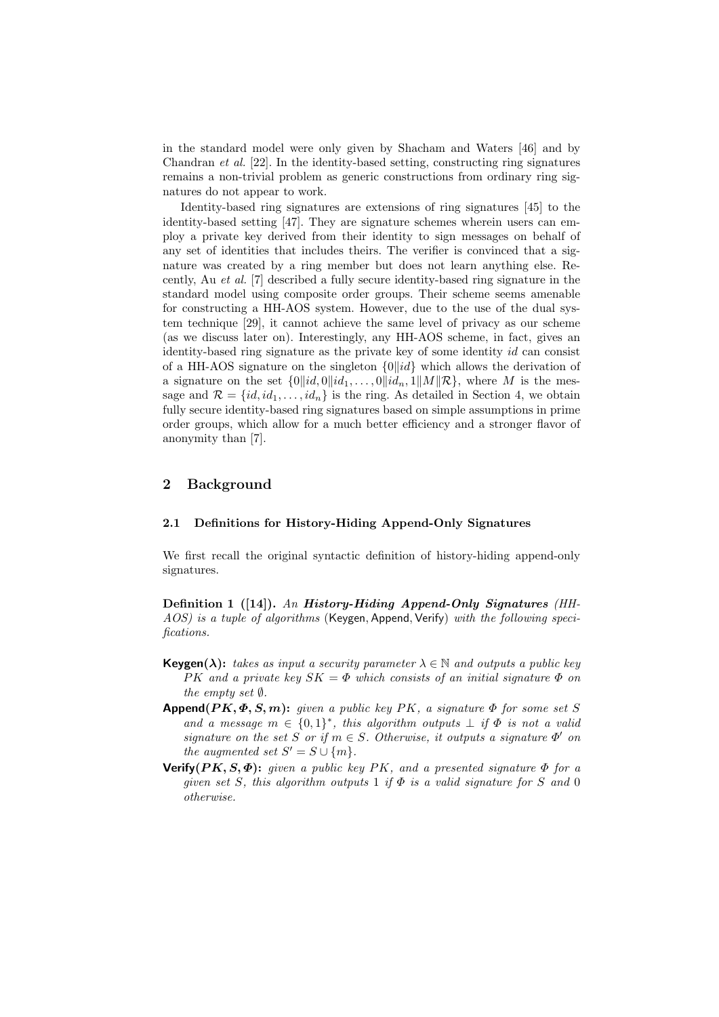in the standard model were only given by Shacham and Waters [46] and by Chandran et al. [22]. In the identity-based setting, constructing ring signatures remains a non-trivial problem as generic constructions from ordinary ring signatures do not appear to work.

Identity-based ring signatures are extensions of ring signatures [45] to the identity-based setting [47]. They are signature schemes wherein users can employ a private key derived from their identity to sign messages on behalf of any set of identities that includes theirs. The verifier is convinced that a signature was created by a ring member but does not learn anything else. Recently, Au et al. [7] described a fully secure identity-based ring signature in the standard model using composite order groups. Their scheme seems amenable for constructing a HH-AOS system. However, due to the use of the dual system technique [29], it cannot achieve the same level of privacy as our scheme (as we discuss later on). Interestingly, any HH-AOS scheme, in fact, gives an identity-based ring signature as the private key of some identity id can consist of a HH-AOS signature on the singleton  $\{0\mid id\}$  which allows the derivation of a signature on the set  $\{0\|id, 0\|id_1, \ldots, 0\|id_n, 1\|M\|\mathcal{R}\}$ , where M is the message and  $\mathcal{R} = \{id, id_1, \ldots, id_n\}$  is the ring. As detailed in Section 4, we obtain fully secure identity-based ring signatures based on simple assumptions in prime order groups, which allow for a much better efficiency and a stronger flavor of anonymity than [7].

# 2 Background

#### 2.1 Definitions for History-Hiding Append-Only Signatures

We first recall the original syntactic definition of history-hiding append-only signatures.

Definition 1 ([14]). An History-Hiding Append-Only Signatures (HH-AOS) is a tuple of algorithms (Keygen, Append, Verify) with the following specifications.

- **Keygen(** $\lambda$ **):** takes as input a security parameter  $\lambda \in \mathbb{N}$  and outputs a public key PK and a private key  $SK = \Phi$  which consists of an initial signature  $\Phi$  on the empty set ∅.
- **Append**( $PK, \Phi, S, m$ ): given a public key PK, a signature  $\Phi$  for some set S and a message  $m \in \{0,1\}^*$ , this algorithm outputs  $\perp$  if  $\Phi$  is not a valia signature on the set S or if  $m \in S$ . Otherwise, it outputs a signature  $\Phi'$  on the augmented set  $S' = S \cup \{m\}.$
- **Verify**( $PK, S, \Phi$ ): given a public key PK, and a presented signature  $\Phi$  for a given set S, this algorithm outputs 1 if  $\Phi$  is a valid signature for S and 0 otherwise.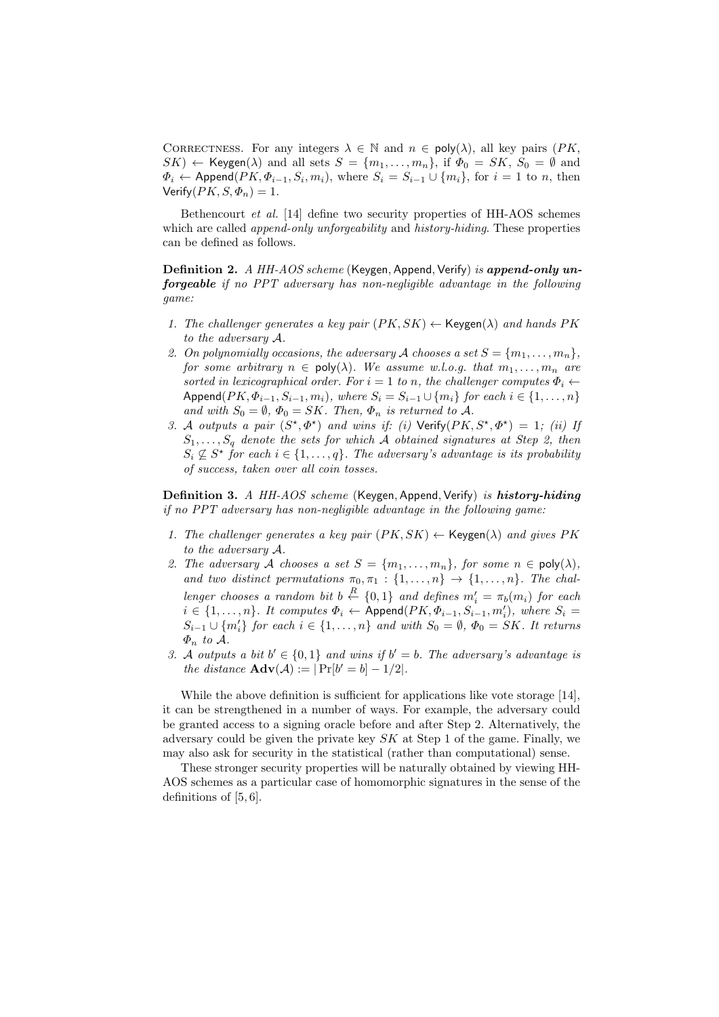CORRECTNESS. For any integers  $\lambda \in \mathbb{N}$  and  $n \in \text{poly}(\lambda)$ , all key pairs  $(PK,$  $SK$ )  $\leftarrow$  Keygen( $\lambda$ ) and all sets  $S = \{m_1, \ldots, m_n\}$ , if  $\Phi_0 = SK$ ,  $S_0 = \emptyset$  and  $\Phi_i \leftarrow \mathsf{Append}(PK, \Phi_{i-1}, S_i, m_i), \text{ where } S_i = S_{i-1} \cup \{m_i\}, \text{ for } i = 1 \text{ to } n, \text{ then}$ Verify $(PK, S, \Phi_n) = 1$ .

Bethencourt et al. [14] define two security properties of HH-AOS schemes which are called *append-only unforgeability* and *history-hiding*. These properties can be defined as follows.

Definition 2. A HH-AOS scheme (Keygen, Append, Verify) is append-only unforgeable if no PPT adversary has non-negligible advantage in the following game:

- 1. The challenger generates a key pair  $(PK, SK) \leftarrow \mathsf{Keygen}(\lambda)$  and hands PK to the adversary A.
- 2. On polynomially occasions, the adversary A chooses a set  $S = \{m_1, \ldots, m_n\}$ , for some arbitrary  $n \in \text{poly}(\lambda)$ . We assume w.l.o.g. that  $m_1, \ldots, m_n$  are sorted in lexicographical order. For  $i = 1$  to n, the challenger computes  $\Phi_i \leftarrow$ Append( $PK, \Phi_{i-1}, S_{i-1}, m_i$ ), where  $S_i = S_{i-1} \cup \{m_i\}$  for each  $i \in \{1, ..., n\}$ and with  $S_0 = \emptyset$ ,  $\Phi_0 = SK$ . Then,  $\Phi_n$  is returned to A.
- 3. A outputs a pair  $(S^*,\Phi^*)$  and wins if: (i) Verify $(PK, S^*,\Phi^*) = 1$ ; (ii) Ij  $S_1, \ldots, S_q$  denote the sets for which A obtained signatures at Step 2, then  $S_i \nsubseteq S^*$  for each  $i \in \{1, \ldots, q\}$ . The adversary's advantage is its probability of success, taken over all coin tosses.

Definition 3. A HH-AOS scheme (Keygen, Append, Verify) is history-hiding if no PPT adversary has non-negligible advantage in the following game:

- 1. The challenger generates a key pair  $(PK, SK) \leftarrow \mathsf{Keygen}(\lambda)$  and gives PK to the adversary A.
- 2. The adversary A chooses a set  $S = \{m_1, \ldots, m_n\}$ , for some  $n \in \text{poly}(\lambda)$ , and two distinct permutations  $\pi_0, \pi_1 : \{1, \ldots, n\} \rightarrow \{1, \ldots, n\}$ . The challenger chooses a random bit  $b \stackrel{R}{\leftarrow} \{0,1\}$  and defines  $m'_i = \pi_b(m_i)$  for each  $i \in \{1, \ldots, n\}$ . It computes  $\Phi_i \leftarrow \textsf{Append}(PK, \Phi_{i-1}, S_{i-1}, m'_i)$ , where  $S_i =$  $S_{i-1} \cup \{m'_i\}$  for each  $i \in \{1, ..., n\}$  and with  $S_0 = \emptyset$ ,  $\Phi_0 = SK$ . It returns  $\Phi_n$  to A.
- 3. A outputs a bit  $b' \in \{0,1\}$  and wins if  $b' = b$ . The adversary's advantage is the distance  $\mathbf{Adv}(\mathcal{A}) := |\Pr[b' = b] - 1/2|$ .

While the above definition is sufficient for applications like vote storage [14], it can be strengthened in a number of ways. For example, the adversary could be granted access to a signing oracle before and after Step 2. Alternatively, the adversary could be given the private key  $SK$  at Step 1 of the game. Finally, we may also ask for security in the statistical (rather than computational) sense.

These stronger security properties will be naturally obtained by viewing HH-AOS schemes as a particular case of homomorphic signatures in the sense of the definitions of [5, 6].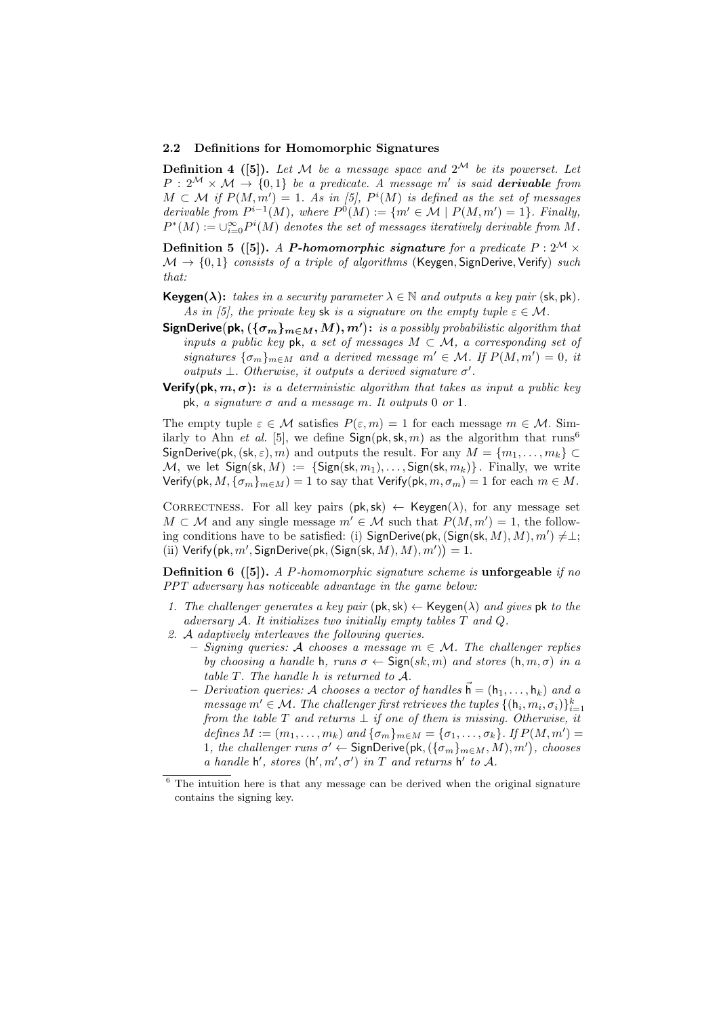#### 2.2 Definitions for Homomorphic Signatures

**Definition 4** ([5]). Let M be a message space and  $2^M$  be its powerset. Let  $P: 2^{\mathcal{M}} \times \mathcal{M} \rightarrow \{0,1\}$  be a predicate. A message m' is said **derivable** from  $M \subset \mathcal{M}$  if  $P(M,m') = 1$ . As in [5],  $P^i(M)$  is defined as the set of messages derivable from  $P^{i-1}(M)$ , where  $P^0(M) := \{m' \in \mathcal{M} \mid P(M, m') = 1\}$ . Finally,  $P^*(M) := \cup_{i=0}^{\infty} P^i(M)$  denotes the set of messages iteratively derivable from M.

Definition 5 ([5]). A P-homomorphic signature for a predicate  $P: 2^{\mathcal{M}} \times$  $M \rightarrow \{0, 1\}$  consists of a triple of algorithms (Keygen, SignDerive, Verify) such that:

- **Keygen(** $\lambda$ **):** takes in a security parameter  $\lambda \in \mathbb{N}$  and outputs a key pair (sk, pk). As in [5], the private key sk is a signature on the empty tuple  $\varepsilon \in \mathcal{M}$ .
- $\operatorname{\sf SignDerive}({\sf pk}, (\{\sigma_m\}_{m\in M}, M), m')\colon$  is a possibly probabilistic algorithm that inputs a public key pk, a set of messages  $M \subset \mathcal{M}$ , a corresponding set of signatures  $\{\sigma_m\}_{m\in M}$  and a derived message  $m' \in \mathcal{M}$ . If  $P(M, m') = 0$ , it outputs  $\perp$ . Otherwise, it outputs a derived signature  $\sigma'$ .
- **Verify(pk, m,**  $\sigma$ **):** is a deterministic algorithm that takes as input a public key pk, a signature  $\sigma$  and a message m. It outputs 0 or 1.

The empty tuple  $\varepsilon \in \mathcal{M}$  satisfies  $P(\varepsilon, m) = 1$  for each message  $m \in \mathcal{M}$ . Similarly to Ahn *et al.* [5], we define  $Sign(pk, sk, m)$  as the algorithm that runs<sup>6</sup> SignDerive(pk, (sk,  $\varepsilon$ ), m) and outputs the result. For any  $M = \{m_1, \ldots, m_k\} \subset$ M, we let  $Sign(\mathsf{sk}, M) := \{Sign(\mathsf{sk}, m_1), \ldots, Sign(\mathsf{sk}, m_k)\}\.$  Finally, we write Verify(pk,  $M$ ,  $\{\sigma_m\}_{m\in M}$ ) = 1 to say that Verify(pk,  $m$ ,  $\sigma_m$ ) = 1 for each  $m \in M$ .

CORRECTNESS. For all key pairs  $(\mathsf{pk}, \mathsf{sk}) \leftarrow \mathsf{Keygen}(\lambda)$ , for any message set  $M \subset \mathcal{M}$  and any single message  $m' \in \mathcal{M}$  such that  $P(M, m') = 1$ , the following conditions have to be satisfied: (i)  $SignDerive(pk, (Sign(sk, M), M), m') \neq \perp;$ (ii) Verify  $(\mathsf{pk}, m', \mathsf{SignDerive}(\mathsf{pk}, (\mathsf{Sign}(\mathsf{sk}, M), M), m')) = 1.$ 

**Definition 6** ([5]). A P-homomorphic signature scheme is **unforgeable** if no PPT adversary has noticeable advantage in the game below:

- 1. The challenger generates a key pair  $(\mathsf{pk}, \mathsf{sk}) \leftarrow \mathsf{Keygen}(\lambda)$  and gives  $\mathsf{pk}$  to the adversary  $A$ . It initializes two initially empty tables  $T$  and  $Q$ .
- 2. A adaptively interleaves the following queries.
	- $−$  Signing queries: A chooses a message m  $∈$  M. The challenger replies by choosing a handle h, runs  $\sigma \leftarrow$  Sign $(sk, m)$  and stores  $(h, m, \sigma)$  in a table T. The handle h is returned to A.
		- Derivation queries: A chooses a vector of handles  $\vec{h} = (h_1, \ldots, h_k)$  and a message  $m' \in \mathcal{M}$ . The challenger first retrieves the tuples  $\{(\mathbf{h}_i, m_i, \sigma_i)\}_{i=1}^k$ from the table T and returns  $\perp$  if one of them is missing. Otherwise, it defines  $M := (m_1, \ldots, m_k)$  and  $\{\sigma_m\}_{m \in M} = \{\sigma_1, \ldots, \sigma_k\}$ . If  $P(M, m') =$ 1, the challenger runs  $\sigma' \leftarrow$  SignDerive(pk,  $(\{\sigma_m\}_{m \in M}, M), m'$ ), chooses a handle h', stores  $(h', m', \sigma')$  in T and returns h' to A.

 $6$  The intuition here is that any message can be derived when the original signature contains the signing key.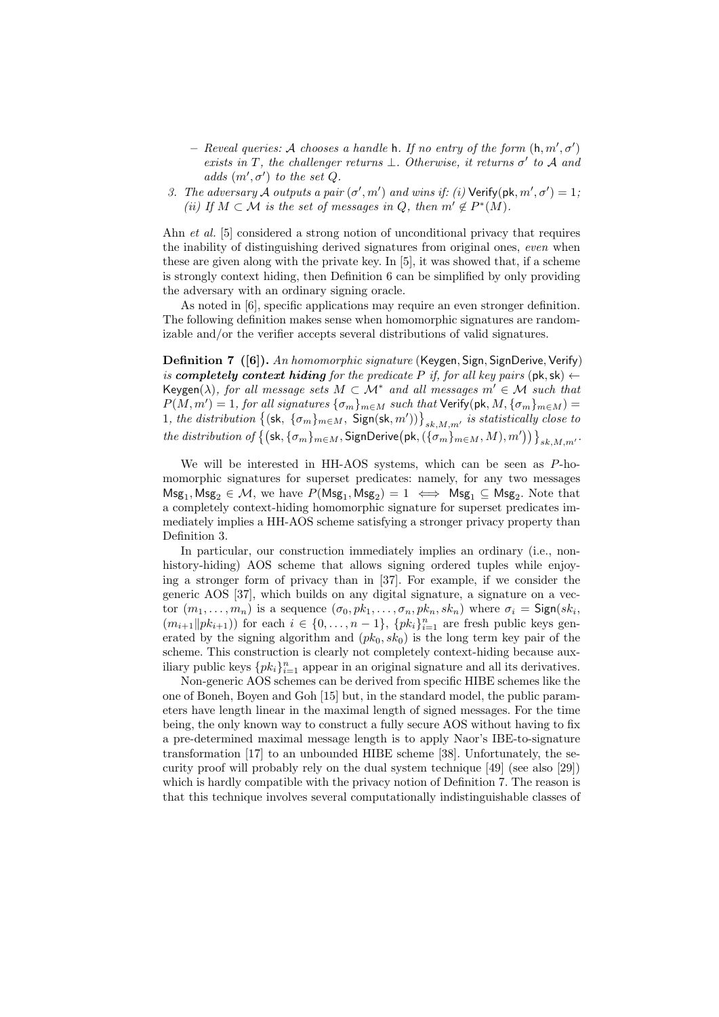- Reveal queries: A chooses a handle h. If no entry of the form  $(h, m', \sigma')$ exists in T, the challenger returns  $\perp$ . Otherwise, it returns  $\sigma'$  to A and adds  $(m', \sigma')$  to the set Q.
- 3. The adversary A outputs a pair  $(\sigma', m')$  and wins if: (i) Verify(pk,  $m', \sigma'$ ) = 1; (ii) If  $M \subset \mathcal{M}$  is the set of messages in Q, then  $m' \notin P^*(M)$ .

Ahn *et al.* [5] considered a strong notion of unconditional privacy that requires the inability of distinguishing derived signatures from original ones, even when these are given along with the private key. In [5], it was showed that, if a scheme is strongly context hiding, then Definition 6 can be simplified by only providing the adversary with an ordinary signing oracle.

As noted in [6], specific applications may require an even stronger definition. The following definition makes sense when homomorphic signatures are randomizable and/or the verifier accepts several distributions of valid signatures.

Definition 7 ([6]). An homomorphic signature (Keygen, Sign, SignDerive, Verify) is **completely context hiding** for the predicate P if, for all key pairs (pk, sk)  $\leftarrow$ Keygen( $\lambda$ ), for all message sets  $M \subset \mathcal{M}^*$  and all messages  $m' \in \mathcal{M}$  such that  $P(M, m') = 1$ , for all signatures  $\{\sigma_m\}_{m \in M}$  such that Verify(pk,  $M, \{\sigma_m\}_{m \in M}$ ) = 1, the distribution  $\big\{(\mathsf{sk},\ \{\sigma_m\}_{m\in M},\ \mathsf{Sign}(\mathsf{sk}, m'))\big\}_{sk,M,m'}$  is statistically close to the distribution of  $\big\{ \big(\mathsf{sk}, \{\sigma_m\}_{m\in M}, \mathsf{SignDerive}\big(\mathsf{pk},(\{\sigma_m\}_{m\in M}, M), m'\big)\big) \big\}_{sk,M,m'}$  .

We will be interested in HH-AOS systems, which can be seen as P-homomorphic signatures for superset predicates: namely, for any two messages  $\mathsf{Msg}_1, \mathsf{Msg}_2 \in \mathcal{M}$ , we have  $P(\mathsf{Msg}_1, \mathsf{Msg}_2) = 1 \iff \mathsf{Msg}_1 \subseteq \mathsf{Msg}_2$ . Note that a completely context-hiding homomorphic signature for superset predicates immediately implies a HH-AOS scheme satisfying a stronger privacy property than Definition 3.

In particular, our construction immediately implies an ordinary (i.e., nonhistory-hiding) AOS scheme that allows signing ordered tuples while enjoying a stronger form of privacy than in [37]. For example, if we consider the generic AOS [37], which builds on any digital signature, a signature on a vector  $(m_1, \ldots, m_n)$  is a sequence  $(\sigma_0, pk_1, \ldots, \sigma_n, pk_n, sk_n)$  where  $\sigma_i = \mathsf{Sign}(sk_i,$  $(m_{i+1}||pk_{i+1})$  for each  $i \in \{0, \ldots, n-1\}$ ,  $\{pk_i\}_{i=1}^n$  are fresh public keys generated by the signing algorithm and  $(pk_0, sk_0)$  is the long term key pair of the scheme. This construction is clearly not completely context-hiding because auxiliary public keys  $\{pk_i\}_{i=1}^n$  appear in an original signature and all its derivatives.

Non-generic AOS schemes can be derived from specific HIBE schemes like the one of Boneh, Boyen and Goh [15] but, in the standard model, the public parameters have length linear in the maximal length of signed messages. For the time being, the only known way to construct a fully secure AOS without having to fix a pre-determined maximal message length is to apply Naor's IBE-to-signature transformation [17] to an unbounded HIBE scheme [38]. Unfortunately, the security proof will probably rely on the dual system technique [49] (see also [29]) which is hardly compatible with the privacy notion of Definition 7. The reason is that this technique involves several computationally indistinguishable classes of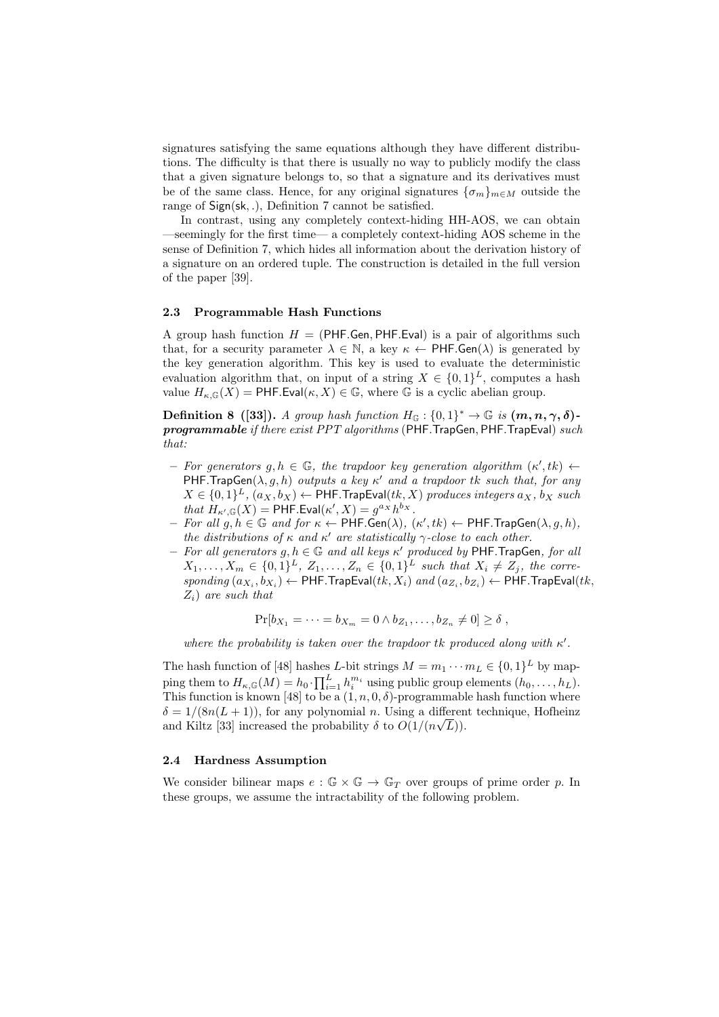signatures satisfying the same equations although they have different distributions. The difficulty is that there is usually no way to publicly modify the class that a given signature belongs to, so that a signature and its derivatives must be of the same class. Hence, for any original signatures  ${\{\sigma_m\}}_{m\in M}$  outside the range of Sign(sk, .), Definition 7 cannot be satisfied.

In contrast, using any completely context-hiding HH-AOS, we can obtain —seemingly for the first time— a completely context-hiding AOS scheme in the sense of Definition 7, which hides all information about the derivation history of a signature on an ordered tuple. The construction is detailed in the full version of the paper [39].

#### 2.3 Programmable Hash Functions

A group hash function  $H = (PHF.Gen, PHF.Eval)$  is a pair of algorithms such that, for a security parameter  $\lambda \in \mathbb{N}$ , a key  $\kappa \leftarrow$  PHF. Gen( $\lambda$ ) is generated by the key generation algorithm. This key is used to evaluate the deterministic evaluation algorithm that, on input of a string  $X \in \{0,1\}^L$ , computes a hash value  $H_{\kappa,\mathbb{G}}(X) = \text{PHF.Eval}(\kappa,X) \in \mathbb{G}$ , where  $\mathbb{G}$  is a cyclic abelian group.

**Definition 8** ([33]). A group hash function  $H_G$ :  $\{0,1\}^* \to G$  is  $(m, n, \gamma, \delta)$ programmable if there exist PPT algorithms (PHF.TrapGen, PHF.TrapEval) such that:

- $-$  For generators  $g, h \in \mathbb{G}$ , the trapdoor key generation algorithm  $(\kappa', t\kappa) \leftarrow$ PHF. TrapGen $(\lambda, g, h)$  outputs a key  $\kappa'$  and a trapdoor tk such that, for any  $X \in \{0,1\}^L$ ,  $(a_X, b_X) \leftarrow$  PHF. TrapEval $(tk, X)$  produces integers  $a_X$ ,  $b_X$  such that  $H_{\kappa', \mathbb{G}}(X) = \text{PHF.Eval}(\kappa', X) = g^{a_X} h^{b_X}.$
- $-$  For all  $g, h \in \mathbb{G}$  and for  $\kappa \leftarrow$  PHF.  $\widetilde{\mathsf{Gen}}(\lambda), \ (\kappa', tk) \leftarrow$  PHF. TrapGen $(\lambda, g, h),$ the distributions of  $\kappa$  and  $\kappa'$  are statistically  $\gamma$ -close to each other.
- $-$  For all generators  $g, h \in \mathbb{G}$  and all keys  $\kappa'$  produced by PHF. TrapGen, for all  $X_1, \ldots, X_m \in \{0,1\}^L, Z_1, \ldots, Z_n \in \{0,1\}^L$  such that  $X_i \neq Z_j$ , the corre- $\mathit{sponding}\left(a_{X_i},b_{X_i}\right) \leftarrow \mathsf{PHF}.\mathsf{TrapEval}(tk,X_i) \; \mathit{and}\left(a_{Z_i},b_{Z_i}\right) \leftarrow \mathsf{PHF}.\mathsf{TrapEval}(tk,$  $Z_i$ ) are such that

$$
Pr[b_{X_1} = \dots = b_{X_m} = 0 \land b_{Z_1}, \dots, b_{Z_n} \neq 0] \geq \delta,
$$

where the probability is taken over the trapdoor tk produced along with  $\kappa'$ .

The hash function of [48] hashes L-bit strings  $M = m_1 \cdots m_L \in \{0,1\}^L$  by mapping them to  $H_{\kappa,\mathbb{G}}(M) = h_0 \cdot \prod_{i=1}^L h_i^{m_i}$  using public group elements  $(h_0,\ldots,h_L)$ . This function is known [48] to be a  $(1, n, 0, \delta)$ -programmable hash function where  $\delta = 1/(8n(L+1))$ , for any polynomial n. Using a different technique, Hofheinz and Kiltz [33] increased the probability  $\delta$  to  $O(1/(n\sqrt{L}))$ .

#### 2.4 Hardness Assumption

We consider bilinear maps  $e : \mathbb{G} \times \mathbb{G} \to \mathbb{G}_T$  over groups of prime order p. In these groups, we assume the intractability of the following problem.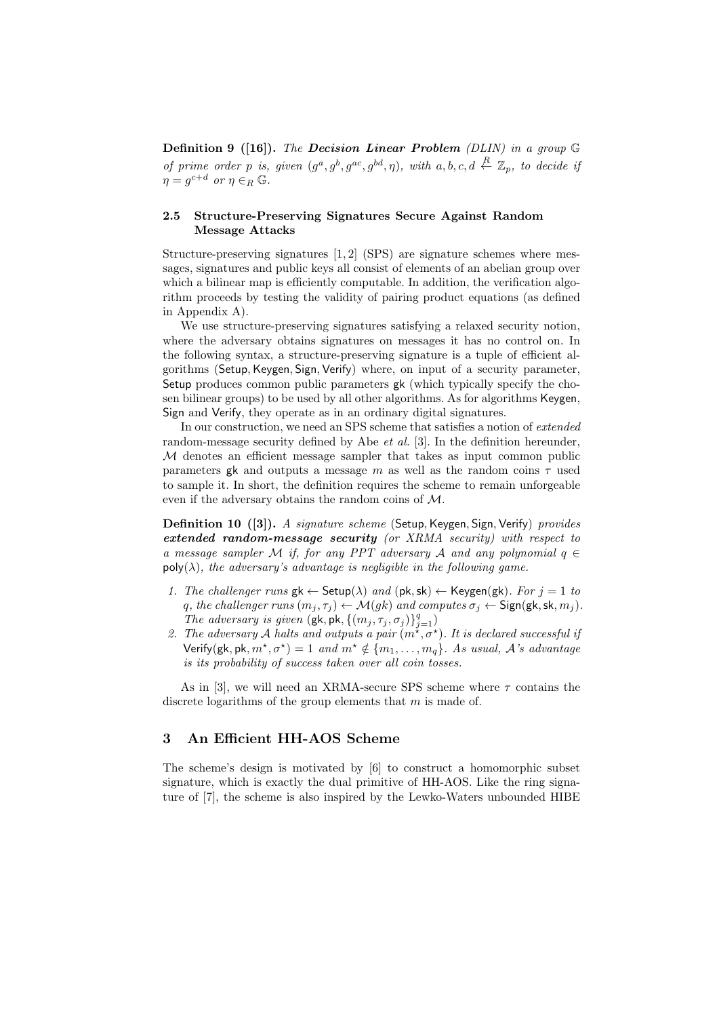**Definition 9** ([16]). The Decision Linear Problem (DLIN) in a group  $\mathbb{G}$ of prime order p is, given  $(g^a, g^b, g^{ac}, g^{bd}, \eta)$ , with  $a, b, c, d \stackrel{R}{\leftarrow} \mathbb{Z}_p$ , to decide if  $\eta = g^{c+d}$  or  $\eta \in_R \mathbb{G}$ .

#### 2.5 Structure-Preserving Signatures Secure Against Random Message Attacks

Structure-preserving signatures [1, 2] (SPS) are signature schemes where messages, signatures and public keys all consist of elements of an abelian group over which a bilinear map is efficiently computable. In addition, the verification algorithm proceeds by testing the validity of pairing product equations (as defined in Appendix A).

We use structure-preserving signatures satisfying a relaxed security notion, where the adversary obtains signatures on messages it has no control on. In the following syntax, a structure-preserving signature is a tuple of efficient algorithms (Setup,Keygen, Sign, Verify) where, on input of a security parameter, Setup produces common public parameters gk (which typically specify the chosen bilinear groups) to be used by all other algorithms. As for algorithms Keygen, Sign and Verify, they operate as in an ordinary digital signatures.

In our construction, we need an SPS scheme that satisfies a notion of extended random-message security defined by Abe et al. [3]. In the definition hereunder, M denotes an efficient message sampler that takes as input common public parameters gk and outputs a message m as well as the random coins  $\tau$  used to sample it. In short, the definition requires the scheme to remain unforgeable even if the adversary obtains the random coins of M.

Definition 10 ([3]). A signature scheme (Setup, Keygen, Sign, Verify) provides extended random-message security (or XRMA security) with respect to a message sampler M if, for any PPT adversary A and any polynomial  $q \in$  $\mathsf{poly}(\lambda)$ , the adversary's advantage is negligible in the following game.

- 1. The challenger runs  $g\mathsf{k} \leftarrow \mathsf{Setup}(\lambda)$  and  $(\mathsf{pk}, \mathsf{sk}) \leftarrow \mathsf{Keygen}(g\mathsf{k})$ . For  $j = 1$  to q, the challenger runs  $(m_j, \tau_j) \leftarrow \mathcal{M}(gk)$  and computes  $\sigma_j \leftarrow \text{Sign}(\textsf{gk},\textsf{sk}, m_j)$ . The adversary is given  $(\mathsf{g}\mathsf{k},\mathsf{pk},\{(m_j,\tau_j,\sigma_j)\}_{j=1}^q)$
- 2. The adversary A halts and outputs a pair  $(m^*, \sigma^*)$ . It is declared successful if Verify(gk, pk,  $m^*$ ,  $\sigma^*$ ) = 1 and  $m^* \notin \{m_1, \ldots, m_q\}$ . As usual,  $\mathcal{A}$ 's advantage is its probability of success taken over all coin tosses.

As in [3], we will need an XRMA-secure SPS scheme where  $\tau$  contains the discrete logarithms of the group elements that  $m$  is made of.

# 3 An Efficient HH-AOS Scheme

The scheme's design is motivated by [6] to construct a homomorphic subset signature, which is exactly the dual primitive of HH-AOS. Like the ring signature of [7], the scheme is also inspired by the Lewko-Waters unbounded HIBE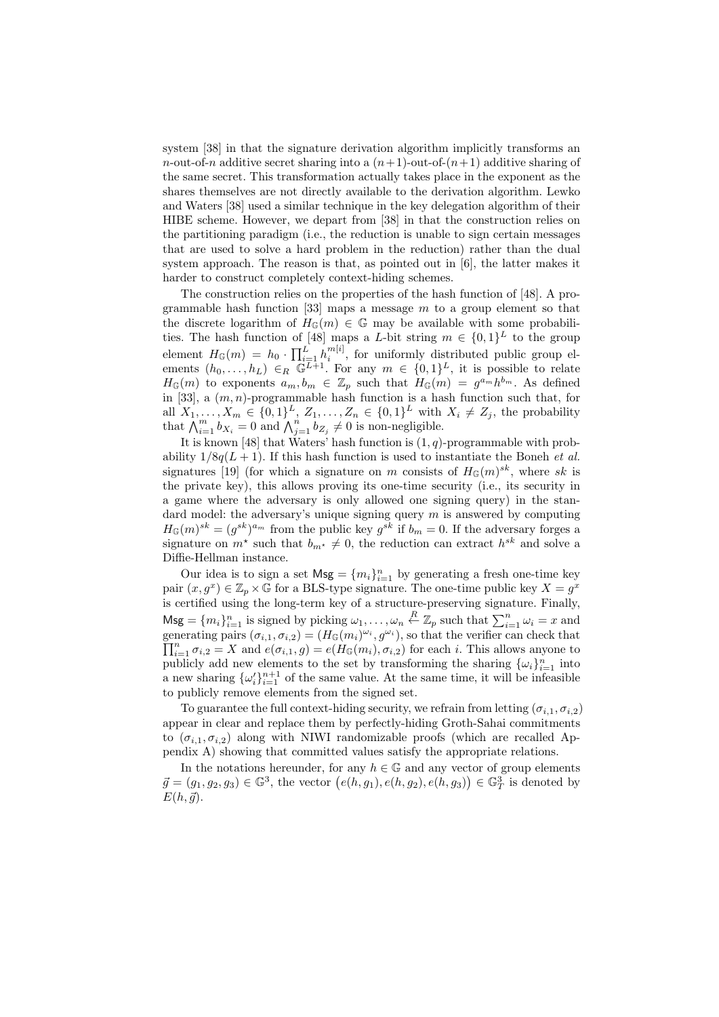system [38] in that the signature derivation algorithm implicitly transforms an n-out-of-n additive secret sharing into a  $(n+1)$ -out-of- $(n+1)$  additive sharing of the same secret. This transformation actually takes place in the exponent as the shares themselves are not directly available to the derivation algorithm. Lewko and Waters [38] used a similar technique in the key delegation algorithm of their HIBE scheme. However, we depart from [38] in that the construction relies on the partitioning paradigm (i.e., the reduction is unable to sign certain messages that are used to solve a hard problem in the reduction) rather than the dual system approach. The reason is that, as pointed out in [6], the latter makes it harder to construct completely context-hiding schemes.

The construction relies on the properties of the hash function of [48]. A programmable hash function [33] maps a message  $m$  to a group element so that the discrete logarithm of  $H_{\mathbb{G}}(m) \in \mathbb{G}$  may be available with some probabilities. The hash function of [48] maps a L-bit string  $m \in \{0,1\}^L$  to the group element  $H_{\mathbb{G}}(m) = h_0 \cdot \prod_{i=1}^{L} h_i^{m[i]}$ , for uniformly distributed public group elements  $(h_0, \ldots, h_L) \in_R \widetilde{\mathbb{G}^{L+1}}$ . For any  $m \in \{0,1\}^L$ , it is possible to relate  $H_{\mathbb{G}}(m)$  to exponents  $a_m, b_m \in \mathbb{Z}_p$  such that  $H_{\mathbb{G}}(m) = g^{a_m} h^{b_m}$ . As defined in [33], a  $(m, n)$ -programmable hash function is a hash function such that, for all  $X_1, \ldots, X_m \in \{0,1\}^L$ ,  $Z_1, \ldots, Z_n \in \{0,1\}^L$  with  $X_i \neq Z_j$ , the probability that  $\bigwedge_{i=1}^m b_{X_i} = 0$  and  $\bigwedge_{j=1}^n b_{Z_j} \neq 0$  is non-negligible.

It is known [48] that Waters' hash function is  $(1, q)$ -programmable with probability  $1/8q(L+1)$ . If this hash function is used to instantiate the Boneh *et al.* signatures [19] (for which a signature on m consists of  $H_{\mathbb{G}}(m)^{sk}$ , where sk is the private key), this allows proving its one-time security (i.e., its security in a game where the adversary is only allowed one signing query) in the standard model: the adversary's unique signing query  $m$  is answered by computing  $H_{\mathbb{G}}(m)^{sk} = (g^{sk})^{a_m}$  from the public key  $g^{sk}$  if  $b_m = 0$ . If the adversary forges a signature on  $m^*$  such that  $b_{m^*} \neq 0$ , the reduction can extract  $h^{sk}$  and solve a Diffie-Hellman instance.

Our idea is to sign a set  $\mathsf{Msg} = \{m_i\}_{i=1}^n$  by generating a fresh one-time key pair  $(x, g^x) \in \mathbb{Z}_p \times \mathbb{G}$  for a BLS-type signature. The one-time public key  $X = g^x$ is certified using the long-term key of a structure-preserving signature. Finally,  $\mathsf{Msg} = \{m_i\}_{i=1}^n$  is signed by picking  $\omega_1, \ldots, \omega_n \stackrel{R}{\leftarrow} \mathbb{Z}_p$  such that  $\sum_{i=1}^n \omega_i = x$  and generating pairs  $(\sigma_{i,1}, \sigma_{i,2}) = (H_{\mathbb{G}}(m_i)^{\omega_i}, g^{\omega_i})$ , so that the verifier can check that  $\prod_{i=1}^n \sigma_{i,2} = X$  and  $e(\sigma_{i,1}, g) = e(H_{\mathbb{G}}(m_i), \sigma_{i,2})$  for each i. This allows anyone to publicly add new elements to the set by transforming the sharing  $\{\omega_i\}_{i=1}^n$  into a new sharing  $\{\omega_i'\}_{i=1}^{n+1}$  of the same value. At the same time, it will be infeasible to publicly remove elements from the signed set.

To guarantee the full context-hiding security, we refrain from letting  $(\sigma_{i,1}, \sigma_{i,2})$ appear in clear and replace them by perfectly-hiding Groth-Sahai commitments to  $(\sigma_{i,1}, \sigma_{i,2})$  along with NIWI randomizable proofs (which are recalled Appendix A) showing that committed values satisfy the appropriate relations.

In the notations hereunder, for any  $h \in \mathbb{G}$  and any vector of group elements  $\vec{g} = (g_1, g_2, g_3) \in \mathbb{G}^3$ , the vector  $(e(h, g_1), e(h, g_2), e(h, g_3)) \in \mathbb{G}_T^3$  is denoted by  $E(h, \vec{q}).$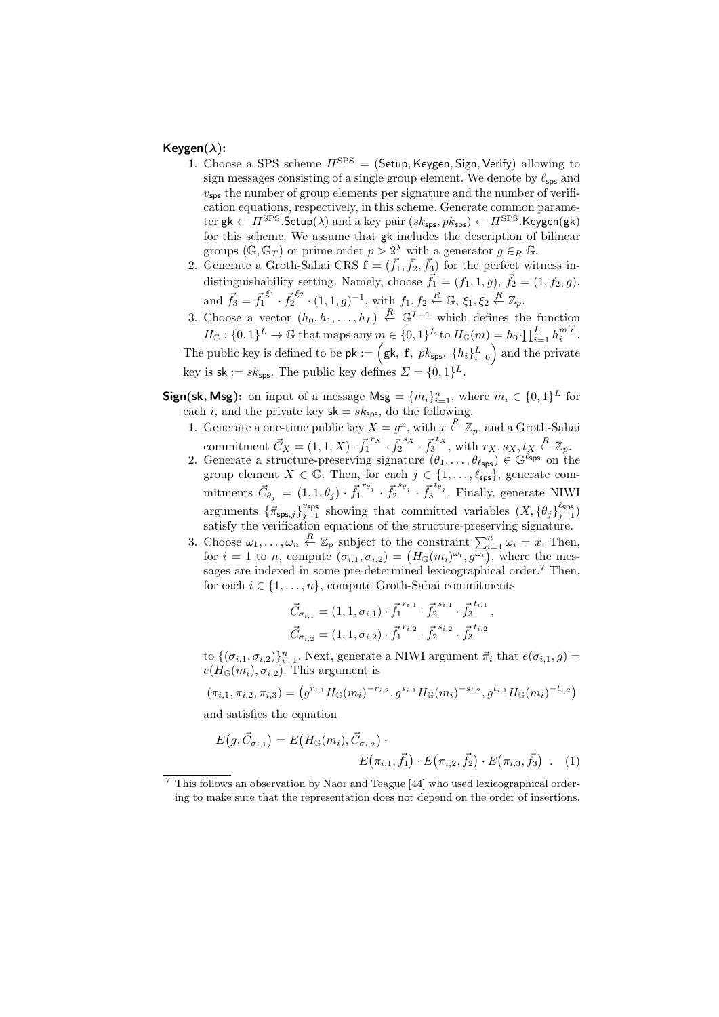## Keygen $(\lambda)$ :

- 1. Choose a SPS scheme  $\Pi^{\rm SPS} =$  (Setup, Keygen, Sign, Verify) allowing to sign messages consisting of a single group element. We denote by  $\ell_{\text{SDS}}$  and  $v_{\rm sos}$  the number of group elements per signature and the number of verification equations, respectively, in this scheme. Generate common parameter gk  $\leftarrow \Pi^{\rm SPS}$ . Setup $(\lambda)$  and a key pair  $(s k_{\sf sys}, \it pk_{\sf sys}) \leftarrow \Pi^{\rm SPS}$ . Keygen $(\sf g k)$ for this scheme. We assume that  $g_k$  includes the description of bilinear groups  $(\mathbb{G}, \mathbb{G}_T)$  or prime order  $p > 2^{\lambda}$  with a generator  $g \in_R \mathbb{G}$ .
- 2. Generate a Groth-Sahai CRS  $\mathbf{f} = (\vec{f}_1, \vec{f}_2, \vec{f}_3)$  for the perfect witness indistinguishability setting. Namely, choose  $f_1 = (f_1, 1, g), f_2 = (1, f_2, g)$ , and  $\vec{f}_3 = \vec{f}_1^{\xi_1} \cdot \vec{f}_2^{\xi_2} \cdot (1, 1, g)^{-1}$ , with  $f_1, f_2 \stackrel{R}{\leftarrow} \mathbb{G}, \xi_1, \xi_2 \stackrel{R}{\leftarrow} \mathbb{Z}_p$ .
- 3. Choose a vector  $(h_0, h_1, \ldots, h_L) \stackrel{R}{\leftarrow} \mathbb{G}^{L+1}$  which defines the function  $H_{\mathbb{G}}: \{0,1\}^L \to \mathbb{G}$  that maps any  $m \in \{0,1\}^L$  to  $H_{\mathbb{G}}(m) = h_0 \cdot \prod_{i=1}^L h_i^{m[i]}$ . The public key is defined to be  $pk := (gk, f, pk_{sps}, \{h_i\}_{i=0}^L)$  and the private

key is  $\mathsf{sk} := sk_{\mathsf{sps}}$ . The public key defines  $\mathcal{E} = \{0, 1\}^L$ .

- **Sign(sk, Msg):** on input of a message  $\textsf{Msg} = \{m_i\}_{i=1}^n$ , where  $m_i \in \{0,1\}^L$  for each i, and the private key  $sk = sk_{\text{sps}}$ , do the following.
	- 1. Generate a one-time public key  $X = g^x$ , with  $x \stackrel{R}{\leftarrow} \mathbb{Z}_p$ , and a Groth-Sahai commitment  $\vec{C}_X = (1, 1, X) \cdot \vec{f}_1^{r_X} \cdot \vec{f}_2^{s_X} \cdot \vec{f}_3^{t_X}$ , with  $r_X, s_X, t_X \stackrel{R}{\leftarrow} \mathbb{Z}_p$ .
	- 2. Generate a structure-preserving signature  $(\theta_1, \ldots, \theta_{\ell_{\text{sps}}}) \in \mathbb{G}^{\ell_{\text{sps}}}$  on the group element  $X \in \mathbb{G}$ . Then, for each  $j \in \{1, \ldots, \ell_{\sf sys}\}\,$ , generate commitments  $\vec{C}_{\theta_j} = (1, 1, \theta_j) \cdot \vec{f_1}^{r_{\theta_j}} \cdot \vec{f_2}^{s_{\theta_j}} \cdot \vec{f_3}^{t_{\theta_j}}$ . Finally, generate NIWI arguments  $\{\vec{\pi}_{\mathsf{sps},j}\}_{j=1}^{\nu_{\mathsf{sps}}}$  showing that committed variables  $(X, {\{\theta_j\}}_{j=1}^{\ell_{\mathsf{sps}}})$ satisfy the verification equations of the structure-preserving signature.
	- 3. Choose  $\omega_1, \ldots, \omega_n \stackrel{R}{\leftarrow} \mathbb{Z}_p$  subject to the constraint  $\sum_{i=1}^n \omega_i = x$ . Then, for  $i = 1$  to n, compute  $(\sigma_{i,1}, \sigma_{i,2}) = (H_{\mathbb{G}}(m_i)^{\omega_i}, g^{\omega_i})$ , where the messages are indexed in some pre-determined lexicographical order.<sup>7</sup> Then, for each  $i \in \{1, \ldots, n\}$ , compute Groth-Sahai commitments

$$
\vec{C}_{\sigma_{i,1}} = (1, 1, \sigma_{i,1}) \cdot \vec{f}_1^{r_{i,1}} \cdot \vec{f}_2^{s_{i,1}} \cdot \vec{f}_3^{t_{i,1}},
$$
  

$$
\vec{C}_{\sigma_{i,2}} = (1, 1, \sigma_{i,2}) \cdot \vec{f}_1^{r_{i,2}} \cdot \vec{f}_2^{s_{i,2}} \cdot \vec{f}_3^{t_{i,2}}
$$

to  $\{(\sigma_{i,1}, \sigma_{i,2})\}_{i=1}^n$ . Next, generate a NIWI argument  $\vec{\pi}_i$  that  $e(\sigma_{i,1}, g)$  =  $e(H_{\mathbb{G}}(m_i), \sigma_{i,2})$ . This argument is

$$
(\pi_{i,1}, \pi_{i,2}, \pi_{i,3}) = (g^{r_{i,1}} H_{\mathbb{G}}(m_i)^{-r_{i,2}}, g^{s_{i,1}} H_{\mathbb{G}}(m_i)^{-s_{i,2}}, g^{t_{i,1}} H_{\mathbb{G}}(m_i)^{-t_{i,2}})
$$

and satisfies the equation

$$
E(g, \vec{C}_{\sigma_{i,1}}) = E(H_{\mathbb{G}}(m_i), \vec{C}_{\sigma_{i,2}}) \cdot E(\pi_{i,1}, \vec{f}_1) \cdot E(\pi_{i,2}, \vec{f}_2) \cdot E(\pi_{i,3}, \vec{f}_3) \quad (1)
$$

<sup>7</sup> This follows an observation by Naor and Teague [44] who used lexicographical ordering to make sure that the representation does not depend on the order of insertions.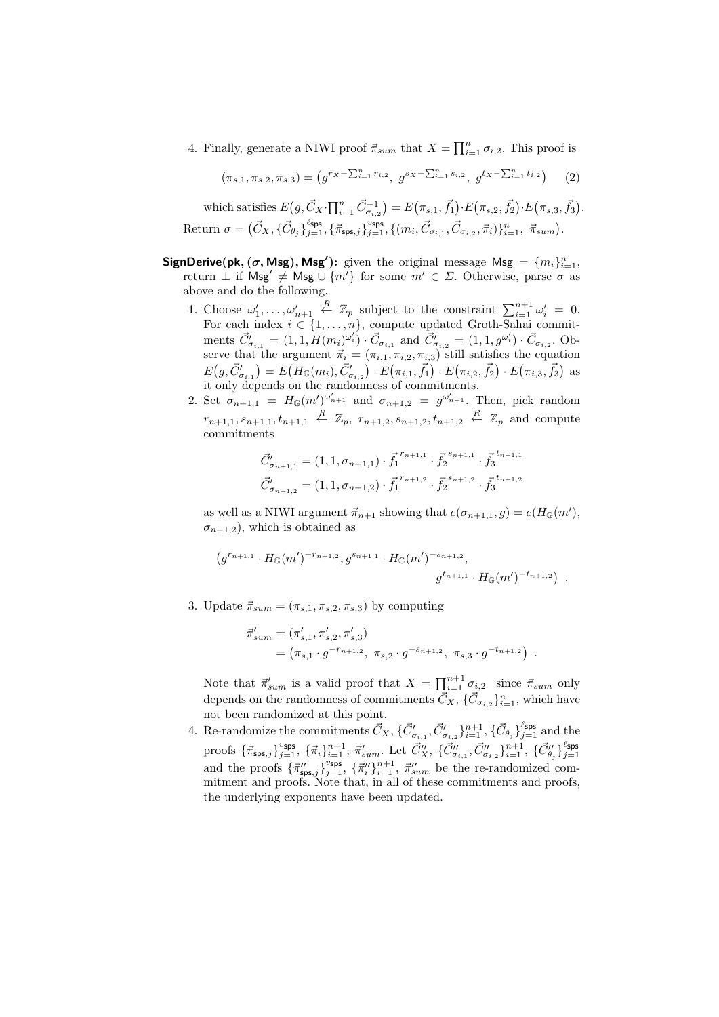4. Finally, generate a NIWI proof  $\vec{\pi}_{sum}$  that  $X = \prod_{i=1}^{n} \sigma_{i,2}$ . This proof is

$$
(\pi_{s,1}, \pi_{s,2}, \pi_{s,3}) = (g^{r_X - \sum_{i=1}^n r_{i,2}}, g^{s_X - \sum_{i=1}^n s_{i,2}}, g^{t_X - \sum_{i=1}^n t_{i,2}})
$$
 (2)

which satisfies  $E(g, \vec{C}_X \cdot \prod_{i=1}^n \vec{C}_{\sigma_{i,2}}^{-1}) = E(\pi_{s,1}, \vec{f}_1) \cdot E(\pi_{s,2}, \vec{f}_2) \cdot E(\pi_{s,3}, \vec{f}_3).$ Return  $\sigma = \left( \vec{C}_X, \{\vec{C}_{\theta_j}\}_{j=1}^{\ell_{\text{sps}}}, \{\vec{\pi}_{\text{sps},j}\}_{j=1}^{\nu_{\text{sps}}}, \{(m_i, \vec{C}_{\sigma_{i,1}}, \vec{C}_{\sigma_{i,2}}, \vec{\pi}_i)\}_{i=1}^n, \ \vec{\pi}_{sum}\right).$ 

- SignDerive(pk,  $(\sigma, \text{Msg})$ , Msg'): given the original message Msg =  $\{m_i\}_{i=1}^n$ , return  $\perp$  if  $\mathsf{Msg}' \neq \mathsf{Msg} \cup \{m'\}$  for some  $m' \in \Sigma$ . Otherwise, parse  $\sigma$  as above and do the following.
	- 1. Choose  $\omega'_1, \ldots, \omega'_{n+1}$  $\overset{R}{\leftarrow} \mathbb{Z}_p$  subject to the constraint  $\sum_{i=1}^{n+1} \omega'_i = 0$ . For each index  $i \in \{1, \ldots, n\}$ , compute updated Groth-Sahai commitments  $\vec{C}'_{\sigma_{i,1}} = (1, 1, H(m_i)^{\omega'_i}) \cdot \vec{C}_{\sigma_{i,1}}$  and  $\vec{C}'_{\sigma_{i,2}} = (1, 1, g^{\omega'_i}) \cdot \vec{C}_{\sigma_{i,2}}$ . Observe that the argument  $\vec{\pi}_i = (\pi_{i,1}, \pi_{i,2}, \pi_{i,3})$  still satisfies the equation  $E(g, \vec{C}'_{\sigma_{i,1}}) = E(H_{\mathbb{G}}(m_i), \vec{C}'_{\sigma_{i,2}}) \cdot E(\pi_{i,1}, \vec{f}_1) \cdot E(\pi_{i,2}, \vec{f}_2) \cdot E(\pi_{i,3}, \vec{f}_3)$  as it only depends on the randomness of commitments.
	- 2. Set  $\sigma_{n+1,1} = H_{\mathbb{G}}(m')^{\omega'_{n+1}}$  and  $\sigma_{n+1,2} = g^{\omega'_{n+1}}$ . Then, pick random  $r_{n+1,1}, s_{n+1,1}, t_{n+1,1} \stackrel{R}{\leftarrow} \mathbb{Z}_p$ ,  $r_{n+1,2}, s_{n+1,2}, t_{n+1,2} \stackrel{R}{\leftarrow} \mathbb{Z}_p$  and compute commitments

$$
\begin{aligned} \vec{C}'_{\sigma_{n+1,1}} &= (1,1,\sigma_{n+1,1}) \cdot \vec{f_1}^{r_{n+1,1}} \cdot \vec{f_2}^{s_{n+1,1}} \cdot \vec{f_3}^{t_{n+1,1}} \\ \vec{C}'_{\sigma_{n+1,2}} &= (1,1,\sigma_{n+1,2}) \cdot \vec{f_1}^{r_{n+1,2}} \cdot \vec{f_2}^{s_{n+1,2}} \cdot \vec{f_3}^{t_{n+1,2}} \end{aligned}
$$

as well as a NIWI argument  $\vec{\pi}_{n+1}$  showing that  $e(\sigma_{n+1,1}, g) = e(H_G(m)),$  $\sigma_{n+1,2}$ , which is obtained as

$$
(g^{r_{n+1,1}} \cdot H_{\mathbb{G}}(m')^{-r_{n+1,2}}, g^{s_{n+1,1}} \cdot H_{\mathbb{G}}(m')^{-s_{n+1,2}}, g^{t_{n+1,1}} \cdot H_{\mathbb{G}}(m')^{-t_{n+1,2}}).
$$

3. Update  $\vec{\pi}_{sum} = (\pi_{s,1}, \pi_{s,2}, \pi_{s,3})$  by computing

$$
\begin{aligned}\n\vec{\pi}'_{sum} &= (\pi'_{s,1}, \pi'_{s,2}, \pi'_{s,3}) \\
&= \left(\pi_{s,1} \cdot g^{-r_{n+1,2}}, \ \pi_{s,2} \cdot g^{-s_{n+1,2}}, \ \pi_{s,3} \cdot g^{-t_{n+1,2}}\right) \ .\n\end{aligned}
$$

Note that  $\vec{\pi}_{sum}'$  is a valid proof that  $X = \prod_{i=1}^{n+1} \sigma_{i,2}$  since  $\vec{\pi}_{sum}$  only depends on the randomness of commitments  $\vec{C}_X$ ,  $\{\vec{C}_{\sigma_{i,2}}\}_{i=1}^n$ , which have not been randomized at this point.

4. Re-randomize the commitments  $\vec{C}_X$ ,  $\{\vec{C}'_{\sigma_{i,1}}, \vec{C}'_{\sigma_{i,2}}\}_{i=1}^{n+1}$ ,  $\{\vec{C}_{\theta_j}\}_{j=1}^{\ell_{\text{SPs}}}$  and the proofs  $\{\vec{\pi}_{\mathsf{sps},j}\}_{j=1}^{v_{\mathsf{sps}}}, \{\vec{\pi}_i\}_{i=1}^{n+1}, \vec{\pi}'_{sum}$ . Let  $\vec{C}''_X$ ,  $\{\vec{C}''_{\sigma_{i,1}}, \vec{C}''_{\sigma_{i,2}}\}_{i=1}^{n+1}, \{\vec{C}''_{\theta_j}\}_{j=1}^{\ell_{\mathsf{sps}}}$ and the proofs  $\{\vec{\pi}_{\text{sps},j}''\}_{j=1}^{\text{vsps}}, \{\vec{\pi}_{i}''\}_{i=1}^{n+1}, \vec{\pi}_{sum}''$  be the re-randomized commitment and proofs. Note that, in all of these commitments and proofs, the underlying exponents have been updated.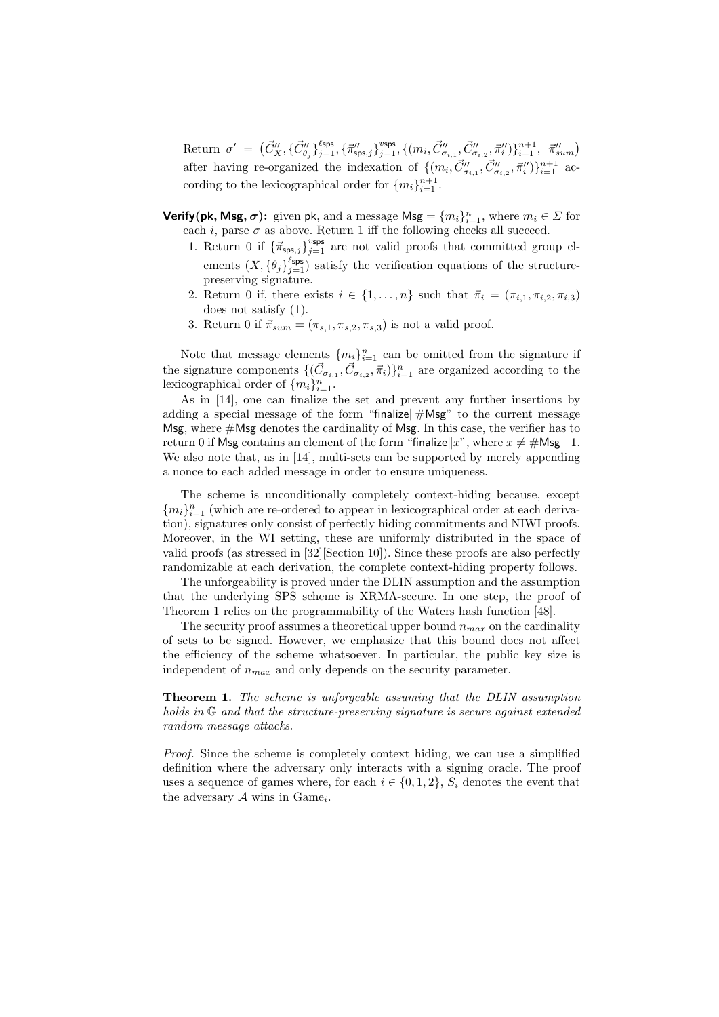Return  $\sigma' = \left( \vec{C}''_X, \{ \vec{C}''_{\theta_j} \}_{j=1}^{\ell_{\text{sps}}}, \{ \vec{\pi}''_{\text{sps},j} \}_{j=1}^{\nu_{\text{sps}}}, \{ (m_i, \vec{C}''_{\sigma_{i,1}}, \vec{C}''_{\sigma_{i,2}}, \vec{\pi}''_i) \}_{i=1}^{n+1}, \ \vec{\pi}''_{sum} \right)$ after having re-organized the indexation of  $\{(m_i, \vec{C}''_{\sigma_{i,1}}, \vec{C}''_{\sigma_{i,2}}, \vec{\pi}''_i)\}_{i=1}^{n+1}$  according to the lexicographical order for  $\{m_i\}_{i=1}^{n+1}$ .

**Verify(pk, Msg,**  $\sigma$ **):** given pk, and a message Msg =  $\{m_i\}_{i=1}^n$ , where  $m_i \in \Sigma$  for each i, parse  $\sigma$  as above. Return 1 iff the following checks all succeed.

- 1. Return 0 if  $\{\vec{\pi}_{\mathsf{sps},j}\}_{j=1}^{\text{vsps}}$  are not valid proofs that committed group elements  $(X, {\theta_j}_{j=1}^{\ell_{\text{sps}}})$  satisfy the verification equations of the structurepreserving signature.
- 2. Return 0 if, there exists  $i \in \{1, \ldots, n\}$  such that  $\vec{\pi}_i = (\pi_{i,1}, \pi_{i,2}, \pi_{i,3})$ does not satisfy (1).
- 3. Return 0 if  $\vec{\pi}_{sum} = (\pi_{s,1}, \pi_{s,2}, \pi_{s,3})$  is not a valid proof.

Note that message elements  $\{m_i\}_{i=1}^n$  can be omitted from the signature if the signature components  $\{(\vec{C}_{\sigma_{i,1}}, \vec{C}_{\sigma_{i,2}}, \vec{\pi}_i)\}_{i=1}^n$  are organized according to the lexicographical order of  $\{m_i\}_{i=1}^n$ .

As in [14], one can finalize the set and prevent any further insertions by adding a special message of the form "finalize $\#Msg$ " to the current message Msg, where #Msg denotes the cardinality of Msg. In this case, the verifier has to return 0 if Msg contains an element of the form "finalize $\Vert x$ ", where  $x \neq \#Msg-1$ . We also note that, as in [14], multi-sets can be supported by merely appending a nonce to each added message in order to ensure uniqueness.

The scheme is unconditionally completely context-hiding because, except  ${m_i}_{i=1}^n$  (which are re-ordered to appear in lexicographical order at each derivation), signatures only consist of perfectly hiding commitments and NIWI proofs. Moreover, in the WI setting, these are uniformly distributed in the space of valid proofs (as stressed in [32][Section 10]). Since these proofs are also perfectly randomizable at each derivation, the complete context-hiding property follows.

The unforgeability is proved under the DLIN assumption and the assumption that the underlying SPS scheme is XRMA-secure. In one step, the proof of Theorem 1 relies on the programmability of the Waters hash function [48].

The security proof assumes a theoretical upper bound  $n_{max}$  on the cardinality of sets to be signed. However, we emphasize that this bound does not affect the efficiency of the scheme whatsoever. In particular, the public key size is independent of  $n_{max}$  and only depends on the security parameter.

Theorem 1. The scheme is unforgeable assuming that the DLIN assumption holds in  $\mathbb G$  and that the structure-preserving signature is secure against extended random message attacks.

Proof. Since the scheme is completely context hiding, we can use a simplified definition where the adversary only interacts with a signing oracle. The proof uses a sequence of games where, for each  $i \in \{0, 1, 2\}$ ,  $S_i$  denotes the event that the adversary  $A$  wins in Game<sub>i</sub>.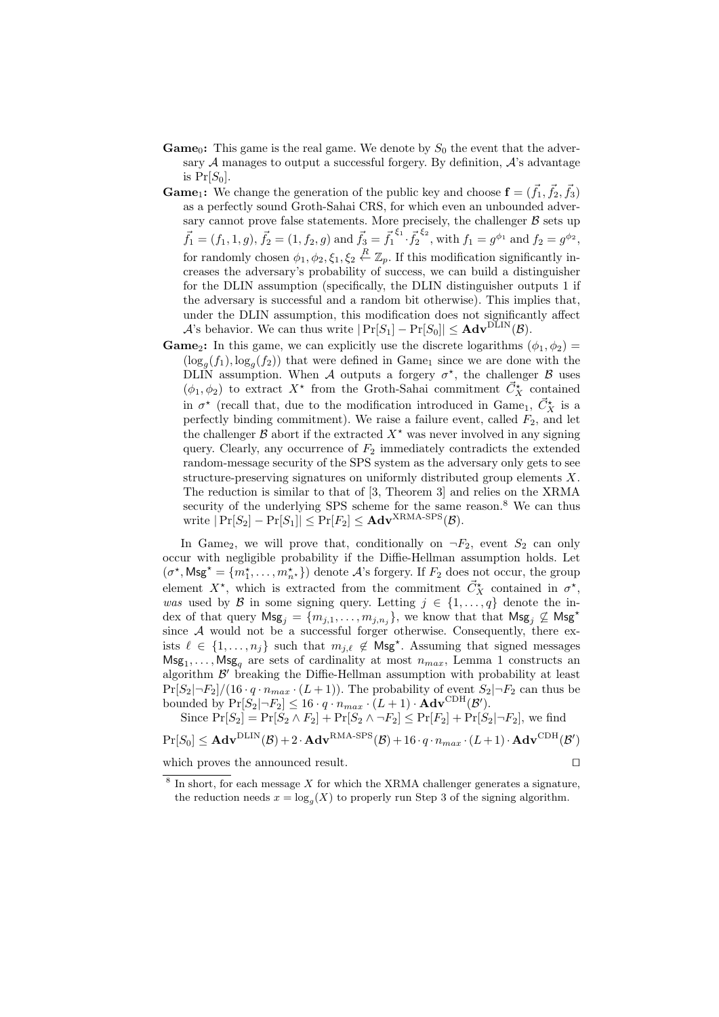- **Game**<sub>0</sub>: This game is the real game. We denote by  $S_0$  the event that the adversary  $A$  manages to output a successful forgery. By definition,  $A$ 's advantage is  $Pr[S_0]$ .
- **Game**<sub>1</sub>: We change the generation of the public key and choose  $\mathbf{f} = (\vec{f}_1, \vec{f}_2, \vec{f}_3)$ as a perfectly sound Groth-Sahai CRS, for which even an unbounded adversary cannot prove false statements. More precisely, the challenger  $\beta$  sets up  $\vec{f}_1 = (f_1, 1, g), \vec{f}_2 = (1, f_2, g)$  and  $\vec{f}_3 = \vec{f}_1^{\xi_1} \cdot \vec{f}_2^{\xi_2}$ , with  $f_1 = g^{\phi_1}$  and  $f_2 = g^{\phi_2}$ , for randomly chosen  $\phi_1, \phi_2, \xi_1, \xi_2 \stackrel{R}{\leftarrow} \mathbb{Z}_p$ . If this modification significantly increases the adversary's probability of success, we can build a distinguisher for the DLIN assumption (specifically, the DLIN distinguisher outputs 1 if the adversary is successful and a random bit otherwise). This implies that, under the DLIN assumption, this modification does not significantly affect A's behavior. We can thus write  $|\Pr[S_1] - \Pr[S_0]| \leq \mathbf{Adv}^{\text{DILIN}}(\mathcal{B})$ .
- **Game**<sub>2</sub>: In this game, we can explicitly use the discrete logarithms  $(\phi_1, \phi_2)$  =  $(\log_g(f_1), \log_g(f_2))$  that were defined in Game<sub>1</sub> since we are done with the DLIN assumption. When A outputs a forgery  $\sigma^*$ , the challenger B uses  $(\phi_1, \phi_2)$  to extract  $X^*$  from the Groth-Sahai commitment  $\vec{C}_X^*$  contained in  $\sigma^*$  (recall that, due to the modification introduced in Game<sub>1</sub>,  $\vec{C}_X^*$  is a perfectly binding commitment). We raise a failure event, called  $F_2$ , and let the challenger  $\beta$  abort if the extracted  $X^*$  was never involved in any signing query. Clearly, any occurrence of  $F_2$  immediately contradicts the extended random-message security of the SPS system as the adversary only gets to see structure-preserving signatures on uniformly distributed group elements X. The reduction is similar to that of [3, Theorem 3] and relies on the XRMA security of the underlying SPS scheme for the same reason.<sup>8</sup> We can thus write  $|\Pr[S_2] - \Pr[S_1]| \leq \Pr[F_2] \leq \mathbf{Adv}^{\text{XRMA-SPS}}(\mathcal{B}).$

In Game<sub>2</sub>, we will prove that, conditionally on  $\neg F_2$ , event  $S_2$  can only occur with negligible probability if the Diffie-Hellman assumption holds. Let  $(\sigma^*$ , Msg<sup>\*</sup> = { $m_1^*$ , ...,  $m_{n^*}^*$ }) denote A's forgery. If  $F_2$  does not occur, the group element  $X^*$ , which is extracted from the commitment  $\vec{C}_X^*$  contained in  $\sigma^*$ , was used by B in some signing query. Letting  $j \in \{1, ..., q\}$  denote the index of that query  $\mathsf{Msg}_j = \{m_{j,1}, \ldots, m_{j,n_j}\}\$ , we know that that  $\mathsf{Msg}_j \not\subseteq \mathsf{Msg}^{\star}$ since  $A$  would not be a successful forger otherwise. Consequently, there exists  $\ell \in \{1, \ldots, n_j\}$  such that  $m_{j,\ell} \notin \mathsf{Msg}^{\star}$ . Assuming that signed messages  $\mathsf{Msg}_1, \ldots, \mathsf{Msg}_q$  are sets of cardinality at most  $n_{max}$ , Lemma 1 constructs an algorithm  $\mathcal{B}'$  breaking the Diffie-Hellman assumption with probability at least  $Pr[S_2|\neg F_2]/(16 \cdot q \cdot n_{max} \cdot (L+1)).$  The probability of event  $S_2|\neg F_2$  can thus be bounded by  $Pr[S_2 | \neg F_2] \le 16 \cdot q \cdot n_{max} \cdot (L+1) \cdot \mathbf{Adv}^{\text{CDH}}(\mathcal{B}').$ 

Since  $Pr[S_2] = Pr[S_2 \wedge F_2] + Pr[S_2 \wedge \neg F_2] \leq Pr[F_2] + Pr[S_2 | \neg F_2]$ , we find

 $\Pr[S_0] \leq \mathbf{Adv}^\mathrm{DLIN}(\mathcal{B}) + 2 \cdot \mathbf{Adv}^\mathrm{RMA\text{-}SPS}(\mathcal{B}) + 16 \cdot q \cdot n_{max} \cdot (L+1) \cdot \mathbf{Adv}^\mathrm{CDH}(\mathcal{B}^\prime)$ 

which proves the announced result.  $\Box$ 

 $8$  In short, for each message  $X$  for which the XRMA challenger generates a signature, the reduction needs  $x = \log_g(X)$  to properly run Step 3 of the signing algorithm.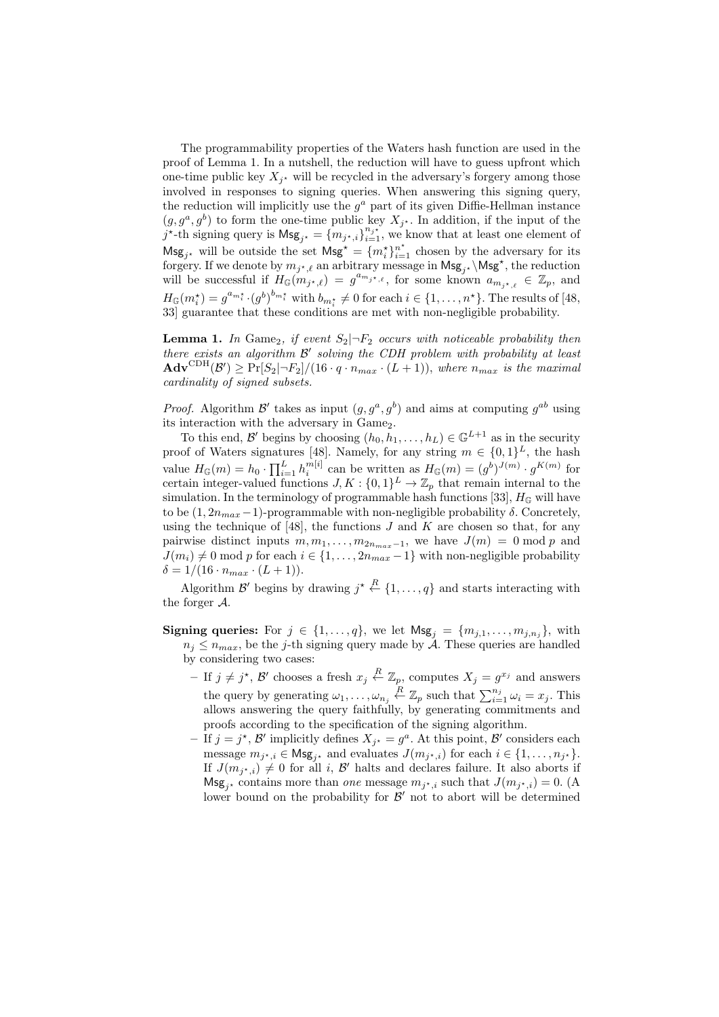The programmability properties of the Waters hash function are used in the proof of Lemma 1. In a nutshell, the reduction will have to guess upfront which one-time public key  $X_{j^*}$  will be recycled in the adversary's forgery among those involved in responses to signing queries. When answering this signing query, the reduction will implicitly use the  $g<sup>a</sup>$  part of its given Diffie-Hellman instance  $(g, g^a, g^b)$  to form the one-time public key  $X_{j^*}$ . In addition, if the input of the  $j^*$ -th signing query is  $\mathsf{Msg}_{j^*} = \{m_{j^*,i}\}_{i=1}^{n_{j^*}}$ , we know that at least one element of  $\mathsf{Msg}_{j^*}$  will be outside the set  $\mathsf{Msg}^* = \{m_i^*\}_{i=1}^{n^*}$  chosen by the adversary for its forgery. If we denote by  $m_{j^*,\ell}$  an arbitrary message in  $\mathsf{Msg}_{j^*}\backslash \mathsf{Msg}^*$ , the reduction will be successful if  $H_{\mathbb{G}}(m_{j^*,\ell}) = g^{a_{m_j^*,\ell}}$ , for some known  $a_{m_{j^*,\ell}} \in \mathbb{Z}_p$ , and  $H_{\mathbb{G}}(m_i^*) = g^{a_{m_i^*}} \cdot (g^b)^{b_{m_i^*}}$  with  $b_{m_i^*} \neq 0$  for each  $i \in \{1, \ldots, n^*\}$ . The results of [48, 33] guarantee that these conditions are met with non-negligible probability.

**Lemma 1.** In Game<sub>2</sub>, if event  $S_2|\neg F_2$  occurs with noticeable probability then there exists an algorithm  $\mathcal{B}'$  solving the CDH problem with probability at least  $\mathbf{Adv}^{\mathrm{CDH}}(\mathcal{B}') \geq \Pr[S_2|\neg F_2]/(16 \cdot q \cdot n_{max} \cdot (L+1)),$  where  $n_{max}$  is the maximal cardinality of signed subsets.

*Proof.* Algorithm  $\mathcal{B}'$  takes as input  $(g, g^a, g^b)$  and aims at computing  $g^{ab}$  using its interaction with the adversary in Game<sub>2</sub>.

To this end, B' begins by choosing  $(h_0, h_1, \ldots, h_L) \in \mathbb{G}^{L+1}$  as in the security proof of Waters signatures [48]. Namely, for any string  $m \in \{0,1\}^L$ , the hash value  $H_{\mathbb{G}}(m) = h_0 \cdot \prod_{i=1}^{L} h_i^{m[i]}$  can be written as  $H_{\mathbb{G}}(m) = (g^b)^{J(m)} \cdot g^{K(m)}$  for certain integer-valued functions  $J, K : \{0,1\}^L \to \mathbb{Z}_p$  that remain internal to the simulation. In the terminology of programmable hash functions [33],  $H_{\mathbb{G}}$  will have to be  $(1, 2n_{max}-1)$ -programmable with non-negligible probability  $\delta$ . Concretely, using the technique of  $[48]$ , the functions J and K are chosen so that, for any pairwise distinct inputs  $m, m_1, \ldots, m_{2n_{max}-1}$ , we have  $J(m) = 0 \text{ mod } p$  and  $J(m_i) \neq 0$  mod p for each  $i \in \{1, ..., 2n_{max} - 1\}$  with non-negligible probability  $\delta = 1/(16 \cdot n_{max} \cdot (L+1)).$ 

Algorithm  $\mathcal{B}'$  begins by drawing  $j^* \leftarrow \{1, \ldots, q\}$  and starts interacting with the forger A.

- Signing queries: For  $j \in \{1, ..., q\}$ , we let  $Msg_j = \{m_{j,1}, ..., m_{j,n_j}\}$ , with  $n_j \leq n_{max}$ , be the j-th signing query made by  $\AA$ . These queries are handled by considering two cases:
	- If  $j \neq j^*$ ,  $\mathcal{B}'$  chooses a fresh  $x_j \stackrel{R}{\leftarrow} \mathbb{Z}_p$ , computes  $X_j = g^{x_j}$  and answers the query by generating  $\omega_1, \ldots, \omega_{n_j} \stackrel{R}{\leftarrow} \mathbb{Z}_p$  such that  $\sum_{i=1}^{n_j} \omega_i = x_j$ . This allows answering the query faithfully, by generating commitments and proofs according to the specification of the signing algorithm.
	- If  $j = j^*$ ,  $\mathcal{B}'$  implicitly defines  $X_{j^*} = g^a$ . At this point,  $\mathcal{B}'$  considers each message  $m_{j^*,i} \in \mathsf{Msg}_{j^*}$  and evaluates  $J(m_{j^*,i})$  for each  $i \in \{1,\ldots,n_{j^*}\}.$ If  $J(m_{j^*,i}) \neq 0$  for all i, B' halts and declares failure. It also aborts if  $\mathsf{Msg}_{j^*}$  contains more than *one* message  $m_{j^*,i}$  such that  $J(m_{j^*,i}) = 0$ . (A lower bound on the probability for  $\mathcal{B}'$  not to abort will be determined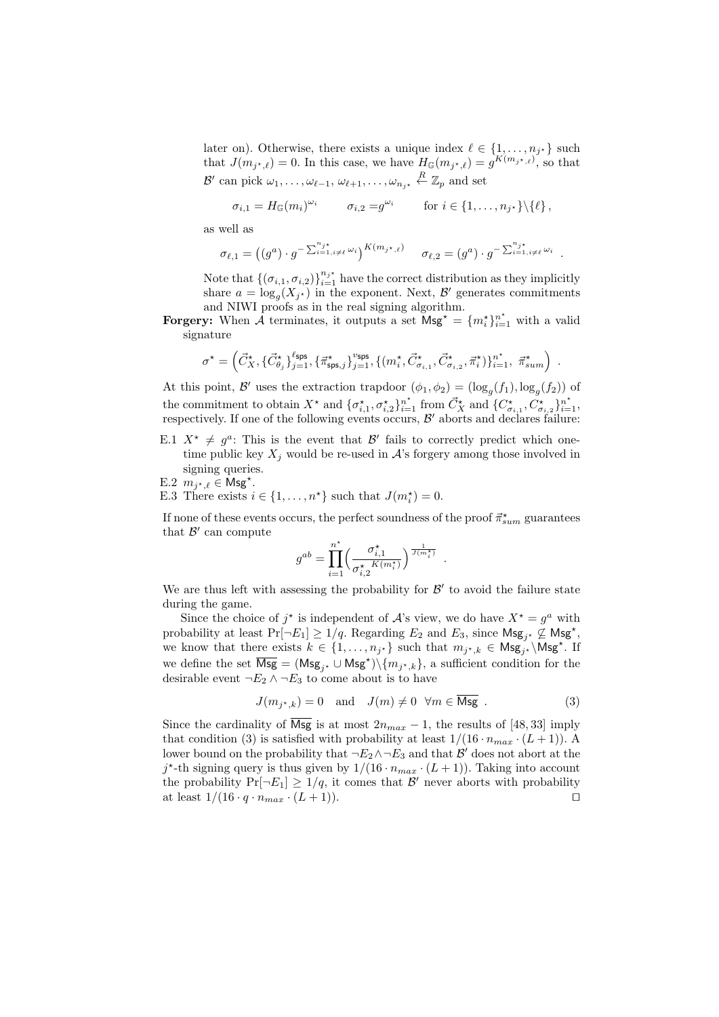later on). Otherwise, there exists a unique index  $\ell \in \{1, \ldots, n_{j^*}\}\$  such that  $J(m_{j^*,\ell}) = 0$ . In this case, we have  $H_{\mathbb{G}}(m_{j^*,\ell}) = g^{K(m_{j^*,\ell})}$ , so that B' can pick  $\omega_1, \ldots, \omega_{\ell-1}, \omega_{\ell+1}, \ldots, \omega_{n_{j^*}} \stackrel{R}{\leftarrow} \mathbb{Z}_p$  and set

 $\sigma_{i,1} = H_{\mathbb{G}}(m_i)^{\omega_i} \qquad \sigma_{i,2} = g^{\omega_i} \qquad \text{for } i \in \{1, \ldots, n_{j^*}\} \backslash \{\ell\},\$ 

as well as

$$
\sigma_{\ell,1} = \left( (g^a) \cdot g^{-\sum_{i=1, i \neq \ell}^{n_j*} \omega_i} \right)^{K(m_j \star \mathbf{,} \ell)} \quad \sigma_{\ell,2} = (g^a) \cdot g^{-\sum_{i=1, i \neq \ell}^{n_j*} \omega_i}
$$

.

Note that  $\{\left(\sigma_{i,1}, \sigma_{i,2}\right)\}_{i=1}^{n_j \star}$  have the correct distribution as they implicitly share  $a = \log_g(X_{j^*})$  in the exponent. Next,  $\mathcal{B}'$  generates commitments and NIWI proofs as in the real signing algorithm.

**Forgery:** When  $\hat{A}$  terminates, it outputs a set  $Msg^* = \{m_i^*\}_{i=1}^{n^*}$  with a valid signature

$$
\sigma^\star = \left(\vec{C}_X^\star, \{\vec{C}_{\theta_j}^\star\}_{j=1}^{\ell_\text{SPS}}, \{\vec{\pi}^\star_{\text{sps},j}\}_{j=1}^{v_\text{SPS}}, \{(m_i^\star, \vec{C}_{\sigma_{i,1}}^\star, \vec{C}_{\sigma_{i,2}}^\star, \vec{\pi}_i^\star)\}_{i=1}^{n^\star}, \ \vec{\pi}^\star_{sum}\right) \ .
$$

At this point, B' uses the extraction trapdoor  $(\phi_1, \phi_2) = (\log_g(f_1), \log_g(f_2))$  of the commitment to obtain  $X^*$  and  $\{\sigma_{i,1}^*, \sigma_{i,2}^*\}_{i=1}^n$  from  $\vec{C}_X^*$  and  $\{C_{\sigma_{i,1}}^*, C_{\sigma_{i,2}}^*\}_{i=1}^n$ , respectively. If one of the following events occurs,  $\mathcal{B}'$  aborts and declares failure:

E.1  $X^* \neq g^a$ : This is the event that  $\mathcal{B}'$  fails to correctly predict which onetime public key  $X_j$  would be re-used in  $\mathcal{A}$ 's forgery among those involved in signing queries.

E.2 
$$
m_{j^*,\ell} \in \mathsf{Msg}^*.
$$

E.3 There exists  $i \in \{1, \ldots, n^{\star}\}\$  such that  $J(m_i^{\star}) = 0$ .

If none of these events occurs, the perfect soundness of the proof  $\vec{\pi}_{sum}^{\star}$  guarantees that  $\mathcal{B}'$  can compute

$$
g^{ab} = \prod_{i=1}^{n^\star} \Bigl(\frac{\sigma^\star_{i,1}}{\sigma^\star_{i,2}{}^{K(m^\star_i)}}\Bigr)^{\frac{1}{J(m^\star_i)}}\enspace.
$$

We are thus left with assessing the probability for  $\mathcal{B}'$  to avoid the failure state during the game.

Since the choice of  $j^*$  is independent of  $\mathcal{A}$ 's view, we do have  $X^* = g^a$  with probability at least  $Pr[\neg E_1] \ge 1/q$ . Regarding  $E_2$  and  $E_3$ , since  $\mathsf{Msg}_{j^*} \nsubseteq \mathsf{Msg}^*$ , we know that there exists  $k \in \{1, \ldots, n_{j^*}\}\$  such that  $m_{j^*,k} \in \mathsf{Msg}_j^* \backslash \mathsf{Msg}^*$ . If we define the set  $\overline{\mathsf{Msg}} = (\mathsf{Msg}_{j^*} \cup \mathsf{Msg}^*) \setminus \{m_{j^*,k}\},\$ a sufficient condition for the desirable event  $\neg E_2 \land \neg E_3$  to come about is to have

$$
J(m_{j^*,k}) = 0 \quad \text{and} \quad J(m) \neq 0 \quad \forall m \in \overline{\text{Msg}} \tag{3}
$$

Since the cardinality of  $\overline{\text{Msg}}$  is at most  $2n_{max} - 1$ , the results of [48, 33] imply that condition (3) is satisfied with probability at least  $1/(16 \cdot n_{max} \cdot (L+1))$ . A lower bound on the probability that  $\neg E_2 \land \neg E_3$  and that  $\mathcal{B}'$  does not abort at the  $j^*$ -th signing query is thus given by  $1/(16 \cdot n_{max} \cdot (L+1))$ . Taking into account the probability  $Pr[\neg E_1] \geq 1/q$ , it comes that  $\mathcal{B}'$  never aborts with probability at least  $1/(16 \cdot q \cdot n_{max} \cdot (L+1)).$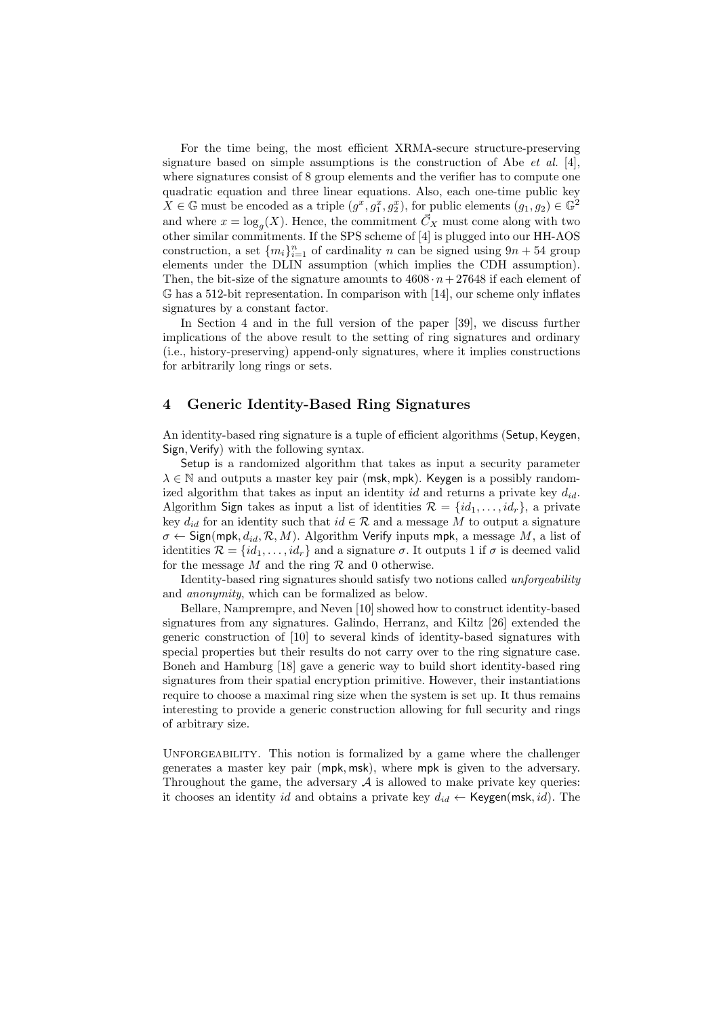For the time being, the most efficient XRMA-secure structure-preserving signature based on simple assumptions is the construction of Abe *et al.* [4], where signatures consist of 8 group elements and the verifier has to compute one quadratic equation and three linear equations. Also, each one-time public key  $X \in \mathbb{G}$  must be encoded as a triple  $(g^x, g_1^x, g_2^x)$ , for public elements  $(g_1, g_2) \in \mathbb{G}^2$ and where  $x = \log_g(X)$ . Hence, the commitment  $\vec{C}_X$  must come along with two other similar commitments. If the SPS scheme of [4] is plugged into our HH-AOS construction, a set  $\{m_i\}_{i=1}^n$  of cardinality n can be signed using  $9n + 54$  group elements under the DLIN assumption (which implies the CDH assumption). Then, the bit-size of the signature amounts to  $4608 \cdot n + 27648$  if each element of G has a 512-bit representation. In comparison with [14], our scheme only inflates signatures by a constant factor.

In Section 4 and in the full version of the paper [39], we discuss further implications of the above result to the setting of ring signatures and ordinary (i.e., history-preserving) append-only signatures, where it implies constructions for arbitrarily long rings or sets.

#### 4 Generic Identity-Based Ring Signatures

An identity-based ring signature is a tuple of efficient algorithms (Setup, Keygen, Sign, Verify) with the following syntax.

Setup is a randomized algorithm that takes as input a security parameter  $\lambda \in \mathbb{N}$  and outputs a master key pair (msk, mpk). Keygen is a possibly randomized algorithm that takes as input an identity id and returns a private key  $d_{id}$ . Algorithm Sign takes as input a list of identities  $\mathcal{R} = \{id_1, \ldots, id_r\}$ , a private key  $d_{id}$  for an identity such that  $id \in \mathcal{R}$  and a message M to output a signature  $\sigma \leftarrow$  Sign(mpk,  $d_{id}, \mathcal{R}, M$ ). Algorithm Verify inputs mpk, a message M, a list of identities  $\mathcal{R} = \{id_1, \ldots, id_r\}$  and a signature  $\sigma$ . It outputs 1 if  $\sigma$  is deemed valid for the message M and the ring  $\mathcal R$  and 0 otherwise.

Identity-based ring signatures should satisfy two notions called unforgeability and anonymity, which can be formalized as below.

Bellare, Namprempre, and Neven [10] showed how to construct identity-based signatures from any signatures. Galindo, Herranz, and Kiltz [26] extended the generic construction of [10] to several kinds of identity-based signatures with special properties but their results do not carry over to the ring signature case. Boneh and Hamburg [18] gave a generic way to build short identity-based ring signatures from their spatial encryption primitive. However, their instantiations require to choose a maximal ring size when the system is set up. It thus remains interesting to provide a generic construction allowing for full security and rings of arbitrary size.

UNFORGEABILITY. This notion is formalized by a game where the challenger generates a master key pair (mpk, msk), where mpk is given to the adversary. Throughout the game, the adversary  $A$  is allowed to make private key queries: it chooses an identity id and obtains a private key  $d_{id} \leftarrow$  Keygen(msk, id). The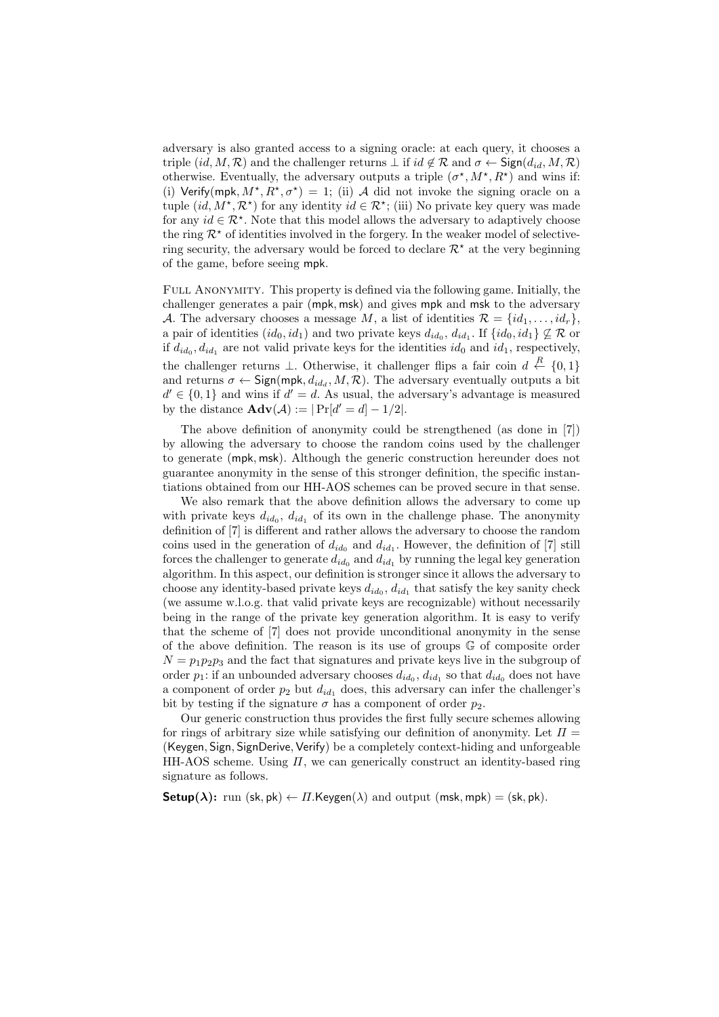adversary is also granted access to a signing oracle: at each query, it chooses a triple  $(id, M, \mathcal{R})$  and the challenger returns  $\perp$  if  $id \notin \mathcal{R}$  and  $\sigma \leftarrow$  Sign $(d_{id}, M, \mathcal{R})$ otherwise. Eventually, the adversary outputs a triple  $(\sigma^*, M^*, R^*)$  and wins if: (i) Verify(mpk,  $M^*, R^*, \sigma^*$ ) = 1; (ii) A did not invoke the signing oracle on a tuple  $(id, M^*, \mathcal{R}^*)$  for any identity  $id \in \mathcal{R}^*$ ; (iii) No private key query was made for any  $id \in \mathcal{R}^*$ . Note that this model allows the adversary to adaptively choose the ring  $\mathcal{R}^*$  of identities involved in the forgery. In the weaker model of selectivering security, the adversary would be forced to declare  $\mathcal{R}^*$  at the very beginning of the game, before seeing mpk.

Full Anonymity. This property is defined via the following game. Initially, the challenger generates a pair (mpk, msk) and gives mpk and msk to the adversary A. The adversary chooses a message M, a list of identities  $\mathcal{R} = \{id_1, \ldots, id_r\},\$ a pair of identities  $(id_0, id_1)$  and two private keys  $d_{id_0}$ ,  $d_{id_1}$ . If  $\{id_0, id_1\} \not\subseteq \mathcal{R}$  or if  $d_{id_0}, d_{id_1}$  are not valid private keys for the identities  $id_0$  and  $id_1$ , respectively, the challenger returns  $\perp$ . Otherwise, it challenger flips a fair coin  $d \stackrel{R}{\leftarrow} \{0,1\}$ and returns  $\sigma \leftarrow \mathsf{Sign}(\mathsf{mpk}, d_{id_a}, M, \mathcal{R})$ . The adversary eventually outputs a bit  $d' \in \{0,1\}$  and wins if  $d' = d$ . As usual, the adversary's advantage is measured by the distance  $\mathbf{Adv}(\mathcal{A}) := |\Pr[d' = d] - 1/2|$ .

The above definition of anonymity could be strengthened (as done in [7]) by allowing the adversary to choose the random coins used by the challenger to generate (mpk, msk). Although the generic construction hereunder does not guarantee anonymity in the sense of this stronger definition, the specific instantiations obtained from our HH-AOS schemes can be proved secure in that sense.

We also remark that the above definition allows the adversary to come up with private keys  $d_{id_0}$ ,  $d_{id_1}$  of its own in the challenge phase. The anonymity definition of [7] is different and rather allows the adversary to choose the random coins used in the generation of  $d_{id_0}$  and  $d_{id_1}$ . However, the definition of [7] still forces the challenger to generate  $d_{id_0}$  and  $d_{id_1}$  by running the legal key generation algorithm. In this aspect, our definition is stronger since it allows the adversary to choose any identity-based private keys  $d_{id_0}$ ,  $d_{id_1}$  that satisfy the key sanity check (we assume w.l.o.g. that valid private keys are recognizable) without necessarily being in the range of the private key generation algorithm. It is easy to verify that the scheme of [7] does not provide unconditional anonymity in the sense of the above definition. The reason is its use of groups  $\mathbb G$  of composite order  $N = p_1p_2p_3$  and the fact that signatures and private keys live in the subgroup of order  $p_1$ : if an unbounded adversary chooses  $d_{id_0}$ ,  $d_{id_1}$  so that  $d_{id_0}$  does not have a component of order  $p_2$  but  $d_{id_1}$  does, this adversary can infer the challenger's bit by testing if the signature  $\sigma$  has a component of order  $p_2$ .

Our generic construction thus provides the first fully secure schemes allowing for rings of arbitrary size while satisfying our definition of anonymity. Let  $\Pi =$ (Keygen, Sign, SignDerive, Verify) be a completely context-hiding and unforgeable  $HH-AOS$  scheme. Using  $\Pi$ , we can generically construct an identity-based ring signature as follows.

**Setup(** $\lambda$ **):** run (sk, pk)  $\leftarrow \Pi$ . Keygen( $\lambda$ ) and output (msk, mpk) = (sk, pk).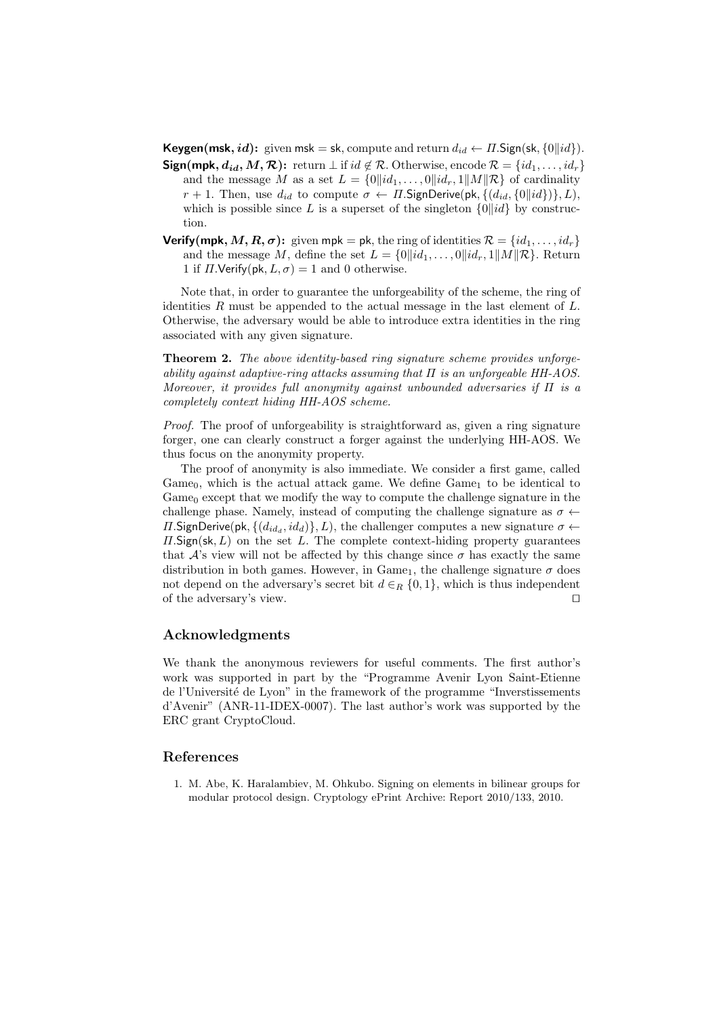**Keygen(msk, id):** given msk = sk, compute and return  $d_{id} \leftarrow \Pi$ . Sign(sk,  $\{0||id\}$ ). **Sign(mpk,**  $d_{id}$ , M,  $\mathcal{R}$ ): return  $\perp$  if  $id \notin \mathcal{R}$ . Otherwise, encode  $\mathcal{R} = \{id_1, \ldots, id_r\}$ 

- and the message M as a set  $L = \{0 \| id_1, \ldots, 0 \| id_r, 1 \| M \| \mathcal{R} \}$  of cardinality  $r + 1$ . Then, use  $d_{id}$  to compute  $\sigma \leftarrow \Pi$ . SignDerive(pk, {(d<sub>id</sub>, {0||id})}, L), which is possible since L is a superset of the singleton  $\{0\|id\}$  by construction.
- **Verify(mpk, M, R,**  $\sigma$ **):** given mpk = pk, the ring of identities  $\mathcal{R} = \{id_1, \ldots, id_r\}$ and the message M, define the set  $L = \{0 \mid \{id_1, \ldots, 0\} \mid id_r, 1 \mid M \mid \mathcal{R}\}\.$  Return 1 if  $\Pi$ . Verify(pk,  $L, \sigma$ ) = 1 and 0 otherwise.

Note that, in order to guarantee the unforgeability of the scheme, the ring of identities R must be appended to the actual message in the last element of  $L$ . Otherwise, the adversary would be able to introduce extra identities in the ring associated with any given signature.

Theorem 2. The above identity-based ring signature scheme provides unforgeability against adaptive-ring attacks assuming that  $\Pi$  is an unforgeable HH-AOS. Moreover, it provides full anonymity against unbounded adversaries if  $\Pi$  is a completely context hiding HH-AOS scheme.

Proof. The proof of unforgeability is straightforward as, given a ring signature forger, one can clearly construct a forger against the underlying HH-AOS. We thus focus on the anonymity property.

The proof of anonymity is also immediate. We consider a first game, called Game<sub>0</sub>, which is the actual attack game. We define  $Game<sub>1</sub>$  to be identical to Game<sub>0</sub> except that we modify the way to compute the challenge signature in the challenge phase. Namely, instead of computing the challenge signature as  $\sigma \leftarrow$  $\Pi$ .SignDerive(pk,  $\{(d_{id_d}, id_d)\}, L)$ , the challenger computes a new signature  $\sigma \leftarrow$  $\Pi$ . Sign(sk,  $L$ ) on the set  $L$ . The complete context-hiding property guarantees that  $\mathcal{A}$ 's view will not be affected by this change since  $\sigma$  has exactly the same distribution in both games. However, in Game<sub>1</sub>, the challenge signature  $\sigma$  does not depend on the adversary's secret bit  $d \in_R \{0,1\}$ , which is thus independent of the adversary's view.  $\Box$ 

# Acknowledgments

We thank the anonymous reviewers for useful comments. The first author's work was supported in part by the "Programme Avenir Lyon Saint-Etienne de l'Université de Lyon" in the framework of the programme "Inverstissements d'Avenir" (ANR-11-IDEX-0007). The last author's work was supported by the ERC grant CryptoCloud.

## References

1. M. Abe, K. Haralambiev, M. Ohkubo. Signing on elements in bilinear groups for modular protocol design. Cryptology ePrint Archive: Report 2010/133, 2010.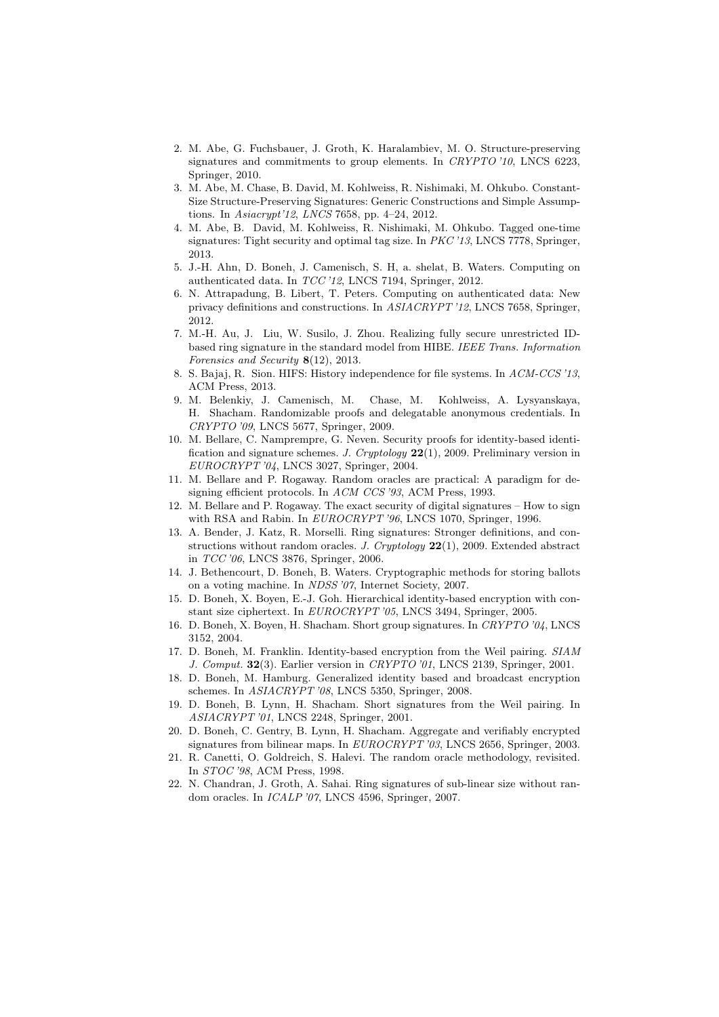- 2. M. Abe, G. Fuchsbauer, J. Groth, K. Haralambiev, M. O. Structure-preserving signatures and commitments to group elements. In CRYPTO '10, LNCS 6223, Springer, 2010.
- 3. M. Abe, M. Chase, B. David, M. Kohlweiss, R. Nishimaki, M. Ohkubo. Constant-Size Structure-Preserving Signatures: Generic Constructions and Simple Assumptions. In Asiacrypt'12, LNCS 7658, pp. 4–24, 2012.
- 4. M. Abe, B. David, M. Kohlweiss, R. Nishimaki, M. Ohkubo. Tagged one-time signatures: Tight security and optimal tag size. In PKC '13, LNCS 7778, Springer, 2013.
- 5. J.-H. Ahn, D. Boneh, J. Camenisch, S. H, a. shelat, B. Waters. Computing on authenticated data. In TCC '12, LNCS 7194, Springer, 2012.
- 6. N. Attrapadung, B. Libert, T. Peters. Computing on authenticated data: New privacy definitions and constructions. In ASIACRYPT '12, LNCS 7658, Springer, 2012.
- 7. M.-H. Au, J. Liu, W. Susilo, J. Zhou. Realizing fully secure unrestricted IDbased ring signature in the standard model from HIBE. IEEE Trans. Information Forensics and Security 8(12), 2013.
- 8. S. Bajaj, R. Sion. HIFS: History independence for file systems. In ACM-CCS '13, ACM Press, 2013.
- 9. M. Belenkiy, J. Camenisch, M. Chase, M. Kohlweiss, A. Lysyanskaya, H. Shacham. Randomizable proofs and delegatable anonymous credentials. In CRYPTO '09, LNCS 5677, Springer, 2009.
- 10. M. Bellare, C. Namprempre, G. Neven. Security proofs for identity-based identification and signature schemes. J. Cryptology  $22(1)$ , 2009. Preliminary version in EUROCRYPT '04, LNCS 3027, Springer, 2004.
- 11. M. Bellare and P. Rogaway. Random oracles are practical: A paradigm for designing efficient protocols. In ACM CCS '93, ACM Press, 1993.
- 12. M. Bellare and P. Rogaway. The exact security of digital signatures How to sign with RSA and Rabin. In EUROCRYPT '96, LNCS 1070, Springer, 1996.
- 13. A. Bender, J. Katz, R. Morselli. Ring signatures: Stronger definitions, and constructions without random oracles. J. Cryptology  $22(1)$ , 2009. Extended abstract in TCC '06, LNCS 3876, Springer, 2006.
- 14. J. Bethencourt, D. Boneh, B. Waters. Cryptographic methods for storing ballots on a voting machine. In NDSS '07, Internet Society, 2007.
- 15. D. Boneh, X. Boyen, E.-J. Goh. Hierarchical identity-based encryption with constant size ciphertext. In EUROCRYPT '05, LNCS 3494, Springer, 2005.
- 16. D. Boneh, X. Boyen, H. Shacham. Short group signatures. In CRYPTO '04, LNCS 3152, 2004.
- 17. D. Boneh, M. Franklin. Identity-based encryption from the Weil pairing. SIAM J. Comput. 32(3). Earlier version in CRYPTO '01, LNCS 2139, Springer, 2001.
- 18. D. Boneh, M. Hamburg. Generalized identity based and broadcast encryption schemes. In ASIACRYPT '08, LNCS 5350, Springer, 2008.
- 19. D. Boneh, B. Lynn, H. Shacham. Short signatures from the Weil pairing. In ASIACRYPT '01, LNCS 2248, Springer, 2001.
- 20. D. Boneh, C. Gentry, B. Lynn, H. Shacham. Aggregate and verifiably encrypted signatures from bilinear maps. In EUROCRYPT '03, LNCS 2656, Springer, 2003.
- 21. R. Canetti, O. Goldreich, S. Halevi. The random oracle methodology, revisited. In STOC '98, ACM Press, 1998.
- 22. N. Chandran, J. Groth, A. Sahai. Ring signatures of sub-linear size without random oracles. In ICALP '07, LNCS 4596, Springer, 2007.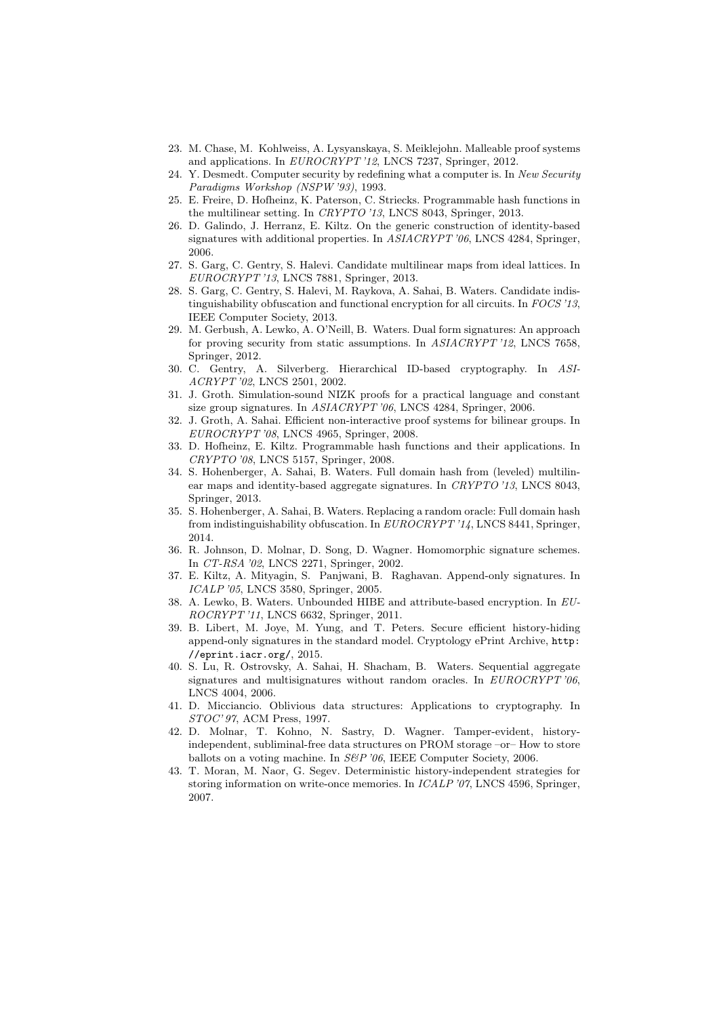- 23. M. Chase, M. Kohlweiss, A. Lysyanskaya, S. Meiklejohn. Malleable proof systems and applications. In EUROCRYPT '12, LNCS 7237, Springer, 2012.
- 24. Y. Desmedt. Computer security by redefining what a computer is. In New Security Paradigms Workshop (NSPW '93), 1993.
- 25. E. Freire, D. Hofheinz, K. Paterson, C. Striecks. Programmable hash functions in the multilinear setting. In CRYPTO '13, LNCS 8043, Springer, 2013.
- 26. D. Galindo, J. Herranz, E. Kiltz. On the generic construction of identity-based signatures with additional properties. In ASIACRYPT '06, LNCS 4284, Springer, 2006.
- 27. S. Garg, C. Gentry, S. Halevi. Candidate multilinear maps from ideal lattices. In EUROCRYPT '13, LNCS 7881, Springer, 2013.
- 28. S. Garg, C. Gentry, S. Halevi, M. Raykova, A. Sahai, B. Waters. Candidate indistinguishability obfuscation and functional encryption for all circuits. In FOCS '13, IEEE Computer Society, 2013.
- 29. M. Gerbush, A. Lewko, A. O'Neill, B. Waters. Dual form signatures: An approach for proving security from static assumptions. In ASIACRYPT '12, LNCS 7658, Springer, 2012.
- 30. C. Gentry, A. Silverberg. Hierarchical ID-based cryptography. In ASI-ACRYPT '02, LNCS 2501, 2002.
- 31. J. Groth. Simulation-sound NIZK proofs for a practical language and constant size group signatures. In ASIACRYPT '06, LNCS 4284, Springer, 2006.
- 32. J. Groth, A. Sahai. Efficient non-interactive proof systems for bilinear groups. In EUROCRYPT '08, LNCS 4965, Springer, 2008.
- 33. D. Hofheinz, E. Kiltz. Programmable hash functions and their applications. In CRYPTO '08, LNCS 5157, Springer, 2008.
- 34. S. Hohenberger, A. Sahai, B. Waters. Full domain hash from (leveled) multilinear maps and identity-based aggregate signatures. In CRYPTO '13, LNCS 8043, Springer, 2013.
- 35. S. Hohenberger, A. Sahai, B. Waters. Replacing a random oracle: Full domain hash from indistinguishability obfuscation. In EUROCRYPT '14, LNCS 8441, Springer, 2014.
- 36. R. Johnson, D. Molnar, D. Song, D. Wagner. Homomorphic signature schemes. In CT-RSA '02, LNCS 2271, Springer, 2002.
- 37. E. Kiltz, A. Mityagin, S. Panjwani, B. Raghavan. Append-only signatures. In ICALP '05, LNCS 3580, Springer, 2005.
- 38. A. Lewko, B. Waters. Unbounded HIBE and attribute-based encryption. In EU-ROCRYPT '11, LNCS 6632, Springer, 2011.
- 39. B. Libert, M. Joye, M. Yung, and T. Peters. Secure efficient history-hiding append-only signatures in the standard model. Cryptology ePrint Archive, http: //eprint.iacr.org/, 2015.
- 40. S. Lu, R. Ostrovsky, A. Sahai, H. Shacham, B. Waters. Sequential aggregate signatures and multisignatures without random oracles. In EUROCRYPT '06, LNCS 4004, 2006.
- 41. D. Micciancio. Oblivious data structures: Applications to cryptography. In STOC' 97, ACM Press, 1997.
- 42. D. Molnar, T. Kohno, N. Sastry, D. Wagner. Tamper-evident, historyindependent, subliminal-free data structures on PROM storage –or– How to store ballots on a voting machine. In S&P '06, IEEE Computer Society, 2006.
- 43. T. Moran, M. Naor, G. Segev. Deterministic history-independent strategies for storing information on write-once memories. In ICALP '07, LNCS 4596, Springer, 2007.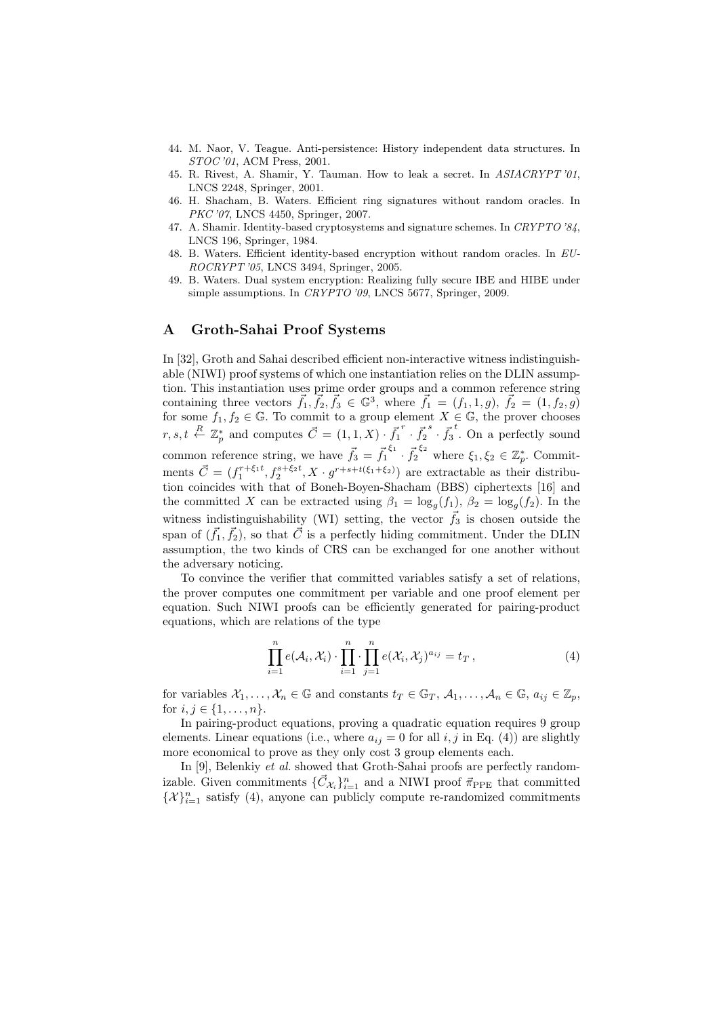- 44. M. Naor, V. Teague. Anti-persistence: History independent data structures. In STOC '01, ACM Press, 2001.
- 45. R. Rivest, A. Shamir, Y. Tauman. How to leak a secret. In ASIACRYPT '01, LNCS 2248, Springer, 2001.
- 46. H. Shacham, B. Waters. Efficient ring signatures without random oracles. In PKC '07, LNCS 4450, Springer, 2007.
- 47. A. Shamir. Identity-based cryptosystems and signature schemes. In CRYPTO '84, LNCS 196, Springer, 1984.
- 48. B. Waters. Efficient identity-based encryption without random oracles. In EU-ROCRYPT '05, LNCS 3494, Springer, 2005.
- 49. B. Waters. Dual system encryption: Realizing fully secure IBE and HIBE under simple assumptions. In *CRYPTO* '09, LNCS 5677, Springer, 2009.

# A Groth-Sahai Proof Systems

In [32], Groth and Sahai described efficient non-interactive witness indistinguishable (NIWI) proof systems of which one instantiation relies on the DLIN assumption. This instantiation uses prime order groups and a common reference string containing three vectors  $\vec{f}_1, \vec{f}_2, \vec{f}_3 \in \mathbb{G}^3$ , where  $\vec{f}_1 = (f_1, 1, g), \ \vec{f}_2 = (1, f_2, g)$ for some  $f_1, f_2 \in \mathbb{G}$ . To commit to a group element  $X \in \mathbb{G}$ , the prover chooses  $r, s, t \leftarrow R$   $\mathbb{Z}_p^*$  and computes  $\vec{C} = (1, 1, X) \cdot \vec{f_1}^r \cdot \vec{f_2}^s \cdot \vec{f_3}^t$ . On a perfectly sound common reference string, we have  $\vec{f}_3 = \vec{f}_1^{\xi_1} \cdot \vec{f}_2^{\xi_2}$  where  $\xi_1, \xi_2 \in \mathbb{Z}_p^*$ . Commitments  $\vec{C} = (f_1^{r+\xi_1 t}, f_2^{s+\xi_2 t}, X \cdot g^{r+s+t(\xi_1+\xi_2)})$  are extractable as their distribution coincides with that of Boneh-Boyen-Shacham (BBS) ciphertexts [16] and the committed X can be extracted using  $\beta_1 = \log_g(f_1)$ ,  $\beta_2 = \log_g(f_2)$ . In the witness indistinguishability (WI) setting, the vector  $\vec{f}_3$  is chosen outside the span of  $(\vec{f}_1, \vec{f}_2)$ , so that  $\vec{C}$  is a perfectly hiding commitment. Under the DLIN assumption, the two kinds of CRS can be exchanged for one another without the adversary noticing.

To convince the verifier that committed variables satisfy a set of relations, the prover computes one commitment per variable and one proof element per equation. Such NIWI proofs can be efficiently generated for pairing-product equations, which are relations of the type

$$
\prod_{i=1}^{n} e(\mathcal{A}_i, \mathcal{X}_i) \cdot \prod_{i=1}^{n} \cdot \prod_{j=1}^{n} e(\mathcal{X}_i, \mathcal{X}_j)^{a_{ij}} = t_T,
$$
\n(4)

for variables  $\mathcal{X}_1,\ldots,\mathcal{X}_n\in\mathbb{G}$  and constants  $t_T\in\mathbb{G}_T$ ,  $\mathcal{A}_1,\ldots,\mathcal{A}_n\in\mathbb{G}$ ,  $a_{ij}\in\mathbb{Z}_p$ , for  $i, j \in \{1, ..., n\}$ .

In pairing-product equations, proving a quadratic equation requires 9 group elements. Linear equations (i.e., where  $a_{ij} = 0$  for all i, j in Eq. (4)) are slightly more economical to prove as they only cost 3 group elements each.

In [9], Belenkiy *et al.* showed that Groth-Sahai proofs are perfectly randomizable. Given commitments  $\{\vec{C}_{\mathcal{X}_i}\}_{i=1}^n$  and a NIWI proof  $\vec{\pi}_{\text{PPE}}$  that committed  $\{\mathcal{X}\}_{i=1}^n$  satisfy (4), anyone can publicly compute re-randomized commitments